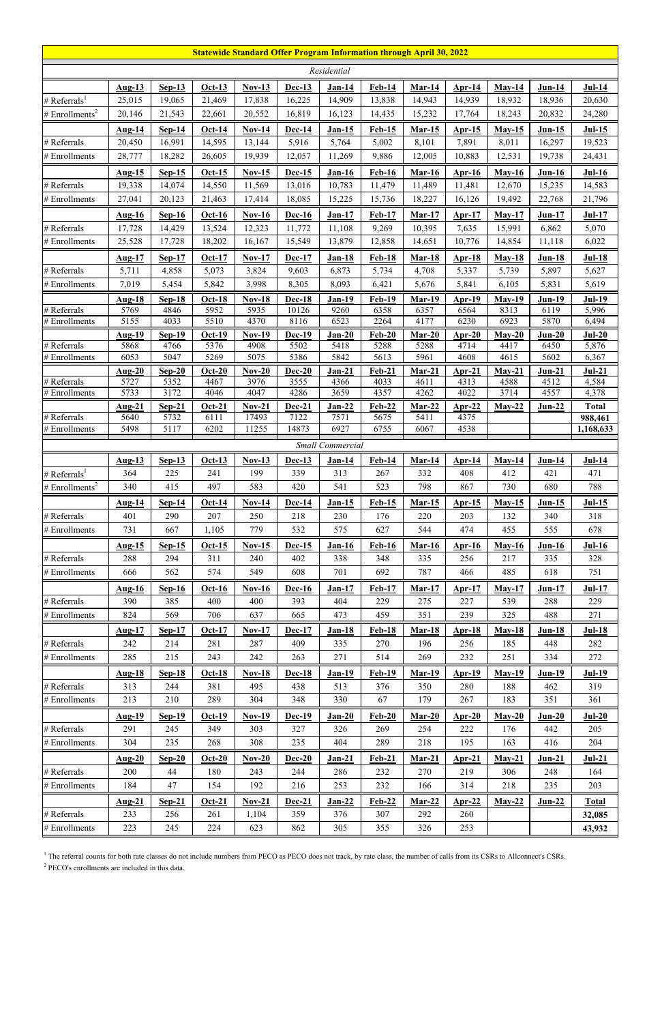| <b>Statewide Standard Offer Program Information through April 30, 2022</b> |                       |                  |                       |                       |                  |                  |                       |                  |                  |                  |                  |                         |  |
|----------------------------------------------------------------------------|-----------------------|------------------|-----------------------|-----------------------|------------------|------------------|-----------------------|------------------|------------------|------------------|------------------|-------------------------|--|
|                                                                            |                       |                  |                       |                       |                  | Residential      |                       |                  |                  |                  |                  |                         |  |
|                                                                            | <b>Aug-13</b>         | $Sep-13$         | <b>Oct-13</b>         | $Nov-13$              | $Dec-13$         | $Jan-14$         | <b>Feb-14</b>         | $Mar-14$         | $Apr-14$         | $May-14$         | <b>Jun-14</b>    | $Jul-14$                |  |
| # Referrals <sup>1</sup>                                                   | 25,015                | 19,065           | 21,469                | 17,838                | 16,225           | 14,909           | 13,838                | 14,943           | 14,939           | 18,932           | 18,936           | 20,630                  |  |
| # Enrollments <sup>2</sup>                                                 | 20,146                | 21,543           | 22,661                | 20,552                | 16,819           | 16,123           | 14,435                | 15,232           | 17,764           | 18,243           | 20,832           | 24,280                  |  |
|                                                                            | <b>Aug-14</b>         | <b>Sep-14</b>    | $Oct-14$              | <b>Nov-14</b>         | Dec-14           | $Jan-15$         | $Feb-15$              | <u>Mar-15</u>    | <u>Apr-15</u>    | $May-15$         | <u>Jun-15</u>    | $Jul-15$                |  |
| # Referrals                                                                | 20,450                | 16,991           | 14,595                | 13,144                | 5,916            | 5,764            | 5,002                 | 8,101            | 7,891            | 8,011            | 16,297           | 19,523                  |  |
| $#$ Enrollments                                                            | 28,777                | 18,282           | 26,605                | 19,939                | 12,057           | 11,269           | 9,886                 | 12,005           | 10,883           | 12,531           | 19,738           | 24,431                  |  |
|                                                                            | <b>Aug-15</b>         | $Sep-15$         | $Oct-15$              | $Nov-15$              | $Dec-15$         | $Jan-16$         | <b>Feb-16</b>         | $Mar-16$         | <b>Apr-16</b>    | $May-16$         | $Jun-16$         | $Jul-16$                |  |
| # Referrals                                                                | 19,338                | 14,074           | 14,550                | 11,569                | 13,016           | 10,783           | 11,479                | 11,489           | 11,481           | 12,670           | 15,235           | 14,583                  |  |
| # Enrollments                                                              | 27,041                | 20,123           | 21,463                | 17,414                | 18,085           | 15,225           | 15,736                | 18,227           | 16,126           | 19,492           | 22,768           | 21,796                  |  |
|                                                                            | $Aug-16$              | $Sep-16$         | <b>Oct-16</b>         | $Nov-16$              | $Dec-16$         | $Jan-17$         | $Feb-17$              | $Mar-17$         | $Apr-17$         | $May-17$         | $Jun-17$         | <b>Jul-17</b>           |  |
| # Referrals                                                                | 17,728                | 14,429           | 13,524                | 12,323                | 11,772           | 11,108           | 9,269                 | 10,395           | 7,635            | 15,991           | 6,862            | 5,070                   |  |
| # Enrollments                                                              | 25,528                | 17,728           | 18,202                | 16,167                | 15,549           | 13,879           | 12,858                | 14,651           | 10,776           | 14,854           | 11,118           | 6,022                   |  |
|                                                                            | $Aug-17$              | $Sep-17$         | $Oct-17$              | <b>Nov-17</b>         | Dec-17           | $Jan-18$         | <b>Feb-18</b>         | $Mar-18$         | $Apr-18$         | $May-18$         | $J$ un-18        | $Jul-18$                |  |
| # Referrals                                                                | 5,711                 | 4,858            | 5,073                 | 3,824                 | 9,603            | 6,873            | 5,734                 | 4,708            | 5,337            | 5,739            | 5,897            | 5,627                   |  |
| # Enrollments                                                              | 7,019                 | 5,454            | 5,842                 | 3,998                 | 8,305            | 8,093            | 6,421                 | 5,676            | 5,841            | 6,105            | 5,831            | 5,619                   |  |
|                                                                            | Aug-18                | $Sep-18$         | <b>Oct-18</b>         | <b>Nov-18</b>         | <b>Dec-18</b>    | $Jan-19$         | <b>Feb-19</b>         | <b>Mar-19</b>    | <b>Apr-19</b>    | $May-19$         | <b>Jun-19</b>    | <b>Jul-19</b>           |  |
| # Referrals                                                                | 5769                  | 4846             | 5952                  | 5935                  | 10126            | 9260             | 6358                  | 6357             | 6564             | 8313             | 6119             | 5,996                   |  |
| # Enrollments                                                              | 5155                  | 4033             | 5510                  | 4370                  | 8116             | 6523             | 2264                  | 4177             | 6230             | 6923             | 5870             | 6,494                   |  |
| # Referrals                                                                | <b>Aug-19</b><br>5868 | $Sep-19$<br>4766 | <b>Oct-19</b><br>5376 | <b>Nov-19</b><br>4908 | Dec-19<br>5502   | $Jan-20$<br>5418 | <b>Feb-20</b><br>5288 | $Mar-20$<br>5288 | $Ar-20$<br>4714  | $May-20$<br>4417 | $Jun-20$<br>6450 | $Jul-20$<br>5,876       |  |
| # Enrollments                                                              | 6053                  | 5047             | 5269                  | 5075                  | 5386             | 5842             | 5613                  | 5961             | 4608             | 4615             | 5602             | 6,367                   |  |
|                                                                            | Aug- $20$             | $Sep-20$         | <b>Oct-20</b>         | $Nov-20$              | Dec-20           | $Jan-21$         | <b>Feb-21</b>         | $Mar-21$         | Apr-21           | $Mav-21$         | Jun-21           | $Jul-21$                |  |
| # Referrals                                                                | 5727                  | 5352             | 4467                  | 3976                  | 3555             | 4366             | 4033                  | 4611             | 4313             | 4588             | 4512             | 4,584                   |  |
| # Enrollments                                                              | 5733                  | 3172             | 4046                  | 4047                  | 4286             | 3659             | 4357                  | 4262             | 4022             | 3714             | 4557             | 4,378                   |  |
| # Referrals                                                                | $Aug-21$<br>5640      | $Sep-21$<br>5732 | $Oct-21$<br>6111      | $Nov-21$<br>17493     | $Dec-21$<br>7122 | $Jan-22$<br>7571 | $Feb-22$<br>5675      | $Mar-22$<br>5411 | $Arr-22$<br>4375 | $May-22$         | $Jun-22$         | <b>Total</b><br>988,461 |  |
| # Enrollments                                                              | 5498                  | 5117             | 6202                  | 11255                 | 14873            | 6927             | 6755                  | 6067             | 4538             |                  |                  | 1,168,633               |  |
|                                                                            |                       |                  |                       |                       |                  | Small Commercial |                       |                  |                  |                  |                  |                         |  |
|                                                                            | $Aug-13$              | $Sep-13$         | $Oct-13$              | $Nov-13$              | $Dec-13$         | $Jan-14$         | $Feb-14$              | $Mar-14$         | <b>Apr-14</b>    | $May-14$         | $J$ un-14        | $Jul-14$                |  |
| # Referrals <sup>1</sup>                                                   | 364                   | 225              | 241                   | 199                   | 339              | 313              | 267                   | 332              | 408              | 412              | 421              | 471                     |  |
| # Enrollments <sup>2</sup>                                                 | 340                   | 415              | 497                   | 583                   | 420              | 541              | 523                   | 798              | 867              | 730              | 680              | 788                     |  |
|                                                                            | $Aug-14$              | $Sep-14$         | $Oct-14$              | <b>Nov-14</b>         | Dec-14           | $Jan-15$         | <b>Feb-15</b>         | <b>Mar-15</b>    | <u>Apr-15</u>    | $May-15$         | <b>Jun-15</b>    | <b>Jul-15</b>           |  |
| # Referrals                                                                | 401                   | 290              | 207                   | 250                   | 218              | 230              | 176                   | 220              | 203              | 132              | 340              | 318                     |  |
| $#$ Enrollments                                                            | 731                   | 667              | 1,105                 | 779                   | 532              | 575              | 627                   | 544              | 474              | 455              | 555              | 678                     |  |
|                                                                            | $Aug-15$              | Sep-15           | $Oct-15$              | $Nov-15$              | $Dec-15$         | <u>Jan-16</u>    | <b>Feb-16</b>         | <b>Mar-16</b>    | $Ar-16$          | <b>May-16</b>    | <b>Jun-16</b>    | <b>Jul-16</b>           |  |
| # Referrals                                                                | 288                   | 294              | 311                   | 240                   | 402              | 338              | 348                   | 335              | 256              | 217              | 335              | 328                     |  |
| # Enrollments                                                              | 666                   | 562              | 574                   | 549                   | 608              | 701              | 692                   | 787              | 466              | 485              | 618              | 751                     |  |
|                                                                            | <u>Aug-16</u>         | $Sep-16$         | $Oct-16$              | $Nov-16$              | Dec-16           | $Jan-17$         | <b>Feb-17</b>         | $Mar-17$         | <b>Apr-17</b>    | $May-17$         | <b>Jun-17</b>    | <b>Jul-17</b>           |  |
| # Referrals                                                                | 390                   | 385              | 400                   | 400                   | 393              | 404              | 229                   | 275              | 227              | 539              | 288              | 229                     |  |
| # Enrollments                                                              | 824                   | 569              | 706                   | 637                   | 665              | 473              | 459                   | 351              | 239              | 325              | 488              | 271                     |  |
|                                                                            | $Aug-17$              | $Sep-17$         | <b>Oct-17</b>         | <b>Nov-17</b>         | <b>Dec-17</b>    | <b>Jan-18</b>    | <b>Feb-18</b>         | <b>Mar-18</b>    | <b>Apr-18</b>    | $May-18$         | <b>Jun-18</b>    | <b>Jul-18</b>           |  |
| # Referrals                                                                | 242                   | 214              | 281                   | 287                   | 409              | 335              | 270                   | 196              | 256              | 185              | 448              | 282                     |  |
| # Enrollments                                                              | 285                   | 215              | 243                   | 242                   | 263              | 271              | 514                   | 269              | 232              | 251              | 334              | 272                     |  |
|                                                                            | $Aug-18$              | $Sep-18$         | $Oct-18$              | $Nov-18$              | <b>Dec-18</b>    | <b>Jan-19</b>    | <b>Feb-19</b>         | Mar-19           | <u>Apr-19</u>    | $May-19$         | <b>Jun-19</b>    | $Jul-19$                |  |
| # Referrals                                                                | 313                   | 244              | 381                   | 495                   | 438              | 513              | 376                   | 350              | 280              | 188              | 462              | 319                     |  |
| # Enrollments                                                              | 213                   | 210              | 289                   | 304                   | 348              | 330              | 67                    | 179              | 267              | 183              | 351              | 361                     |  |
|                                                                            | <b>Aug-19</b>         | $Sep-19$         | $Oct-19$              | $Nov-19$              | Dec-19           | $Jan-20$         | $Feb-20$              | $Mar-20$         | <u>Apr-20</u>    | $May-20$         | $Jun-20$         | $Jul-20$                |  |
| # Referrals                                                                | 291                   | 245              | 349                   | 303                   | 327              | 326              | 269                   | 254              | 222              | 176              | 442              | 205                     |  |
| # Enrollments                                                              | 304                   | 235              | 268                   | 308                   | 235              | 404              | 289                   | 218              | 195              | 163              | 416              | 204                     |  |
|                                                                            | $\overline{Aug-20}$   | $Sep-20$         | <b>Oct-20</b>         | $Nov-20$              | Dec-20           | $Jan-21$         | Feb-21                | Mar-21           | $Ar-21$          | $May-21$         | Jun-21           | $Jul-21$                |  |
| # Referrals                                                                | 200                   | 44               | 180                   | 243                   | 244              | 286              | 232                   | 270              | 219              | 306              | 248              | 164                     |  |
| # Enrollments                                                              | 184                   | 47               | 154                   | 192                   | 216              | 253              | 232                   | 166              | 314              | 218              | 235              | 203                     |  |
|                                                                            | $Aug-21$              | $Sep-21$         | $Oct-21$              | $Nov-21$              | Dec-21           | $Jan-22$         | $Feb-22$              | $Mar-22$         | $Apr-22$         | $May-22$         | $Jun-22$         | <b>Total</b>            |  |
| # Referrals                                                                | 233                   | 256              | 261                   | 1,104                 | 359              | 376              | 307                   | 292              | 260              |                  |                  | 32,085                  |  |
| $#$ Enrollments                                                            | 223                   | 245              | 224                   | 623                   | 862              | 305              | 355                   | 326              | 253              |                  |                  | 43,932                  |  |

 $<sup>1</sup>$  The referral counts for both rate classes do not include numbers from PECO as PECO does not track, by rate class, the number of calls from its CSRs to Allconnect's CSRs.</sup> <sup>2</sup> PECO's enrollments are included in this data.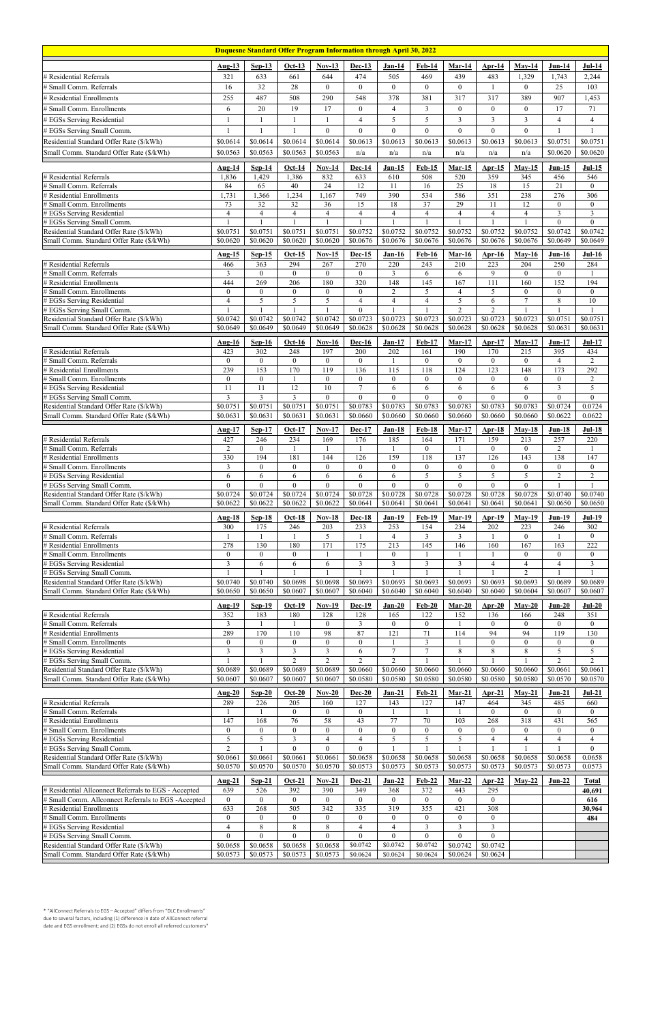| <b>Duquesne Standard Offer Program Information through April 30, 2022</b>                                   |                                    |                                  |                                |                                      |                            |                                    |                                  |                             |                         |                             |                         |                                  |
|-------------------------------------------------------------------------------------------------------------|------------------------------------|----------------------------------|--------------------------------|--------------------------------------|----------------------------|------------------------------------|----------------------------------|-----------------------------|-------------------------|-----------------------------|-------------------------|----------------------------------|
|                                                                                                             | <b>Aug-13</b>                      | $Sep-13$                         | $Oct-13$                       | <b>Nov-13</b>                        | $Dec-13$                   | $Jan-14$                           | Feb-14                           | Mar-14                      | Apr-14                  | $May-14$                    | $Jun-14$                | $Jul-14$                         |
| # Residential Referrals                                                                                     | 321                                | 633                              | 661                            | 644                                  | 474                        | 505                                | 469                              | 439                         | 483                     | 1,329                       | 1.743                   | 2,244                            |
| # Small Comm. Referrals                                                                                     | 16                                 | 32                               | 28                             | $\overline{0}$                       | $\theta$                   | $\mathbf{0}$                       | $\overline{0}$                   | $\overline{0}$              | 1                       | $\theta$                    | 25                      | 103                              |
| # Residential Enrollments                                                                                   | 255                                | 487                              | 508                            | 290                                  | 548                        | 378                                | 381                              | 317                         | 317                     | 389                         | 907                     | 1,453                            |
| # Small Comm. Enrollments                                                                                   | 6                                  | 20                               | 19                             | 17                                   | $\theta$                   | $\overline{4}$                     | 3                                | $\mathbf{0}$                | $\overline{0}$          | $\theta$                    | 17                      | 71                               |
| # EGSs Serving Residential                                                                                  | $\mathbf{1}$                       | 1                                | 1                              | 1                                    | $\overline{4}$             | 5                                  | 5                                | 3                           | $\overline{3}$          | 3                           | 4                       | $\overline{4}$                   |
| # EGSs Serving Small Comm.                                                                                  | $\mathbf{1}$                       | 1                                | $\mathbf{1}$                   | $\mathbf{0}$                         | $\mathbf{0}$               | $\overline{0}$                     | $\theta$                         | $\overline{0}$              | $\Omega$                | $\theta$                    |                         | $\mathbf{1}$                     |
| Residential Standard Offer Rate (\$/kWh)                                                                    | \$0.0614                           | \$0.0614                         | \$0.0614                       | \$0.0614                             | \$0.0613                   | \$0.0613                           | \$0.0613                         | \$0.0613                    | \$0.0613                | \$0.0613                    | \$0.0751                | \$0.0751                         |
| Small Comm. Standard Offer Rate (\$/kWh)                                                                    | \$0.0563                           | \$0.0563                         | \$0.0563                       | \$0.0563                             | n/a                        | n/a                                | n/a                              | n/a                         | n/a                     | n/a                         | \$0.0620                | \$0.0620                         |
|                                                                                                             | Aug-14                             | $Sep-14$                         | Oct-14                         | <b>Nov-14</b>                        | Dec-14                     | $Jan-15$                           | Feb-15                           | $Mar-15$                    | Apr- $15$               | $May-15$                    | $Jun-15$                | $Jul-15$                         |
| # Residential Referrals                                                                                     | 1,836                              | 1,429                            | 1,386                          | 832                                  | 633                        | 610                                | 508                              | 520                         | 359                     | 345                         | 456                     | 546                              |
| # Small Comm. Referrals                                                                                     | 84                                 | 65                               | 40                             | 24                                   | 12                         | 11                                 | 16                               | 25                          | $\overline{18}$         | 15                          | 21                      | $\overline{0}$                   |
| # Residential Enrollments                                                                                   | 1,731                              | 1,366                            | 1,234                          | 1,167                                | 749                        | 390                                | 534                              | 586                         | $\overline{351}$        | 238                         | 276                     | 306                              |
| # Small Comm. Enrollments                                                                                   | 73                                 | $\overline{32}$                  | $\overline{32}$                | 36                                   | $\overline{15}$            | $\overline{18}$                    | 37                               | 29                          | 11                      | $\overline{12}$             | $\overline{0}$          | $\mathbf{0}$                     |
| # EGSs Serving Residential<br># EGSs Serving Small Comm.                                                    | $\overline{4}$                     | $\overline{4}$                   | $\overline{4}$                 | $\overline{4}$                       | $\overline{4}$             | $\overline{4}$                     | $\overline{4}$                   | $\overline{4}$              | $\overline{4}$          | $\overline{4}$              | 3<br>$\overline{0}$     | $\mathfrak{Z}$<br>$\overline{0}$ |
| Residential Standard Offer Rate (\$/kWh)                                                                    | \$0.0751                           | \$0.0751                         | \$0.0751                       | \$0.0751                             | \$0.0752                   | \$0.0752                           | \$0.0752                         | \$0.0752                    | \$0.0752                | \$0.0752                    | \$0.0742                | \$0.0742                         |
| Small Comm. Standard Offer Rate (\$/kWh)                                                                    | \$0.0620                           | \$0.0620                         | \$0.0620                       | \$0.0620                             | \$0.0676                   | \$0.0676                           | \$0.0676                         | \$0.0676                    | \$0.0676                | \$0.0676                    | \$0.0649                | $\overline{$}0.0649$             |
|                                                                                                             | <b>Aug-15</b>                      | $Sep-15$                         | $Oct-15$                       | $Nov-15$                             | Dec-15                     | <b>Jan-16</b>                      | <b>Feb-16</b>                    | Mar- $16$                   | Apr- $16$               | $May-16$                    | <b>Jun-16</b>           | $Jul-16$                         |
| # Residential Referrals                                                                                     | 466                                | 363                              | 294                            | 267                                  | 270                        | 220                                | 243                              | 210                         | 223                     | 204                         | 250                     | 284                              |
| # Small Comm. Referrals                                                                                     | 3                                  | $\overline{0}$                   | $\mathbf{0}$                   | $\mathbf{0}$                         | $\mathbf{0}$               | $\mathfrak{Z}$                     | 6                                | 6                           | 9                       | $\mathbf{0}$                | $\overline{0}$          | -1                               |
| # Residential Enrollments                                                                                   | 444                                | 269                              | 206                            | 180                                  | 320                        | 148                                | 145                              | 167                         | 111                     | 160                         | 152                     | 194                              |
| # Small Comm. Enrollments<br># EGSs Serving Residential                                                     | $\mathbf{0}$<br>$\overline{4}$     | $\theta$<br>5                    | $\theta$<br>5                  | $\theta$<br>5                        | $\theta$<br>$\overline{4}$ | $\mathbf{2}$<br>$\overline{4}$     | 5<br>$\overline{4}$              | 4<br>5                      | 5<br>6                  | $\theta$<br>$\overline{7}$  | $\overline{0}$<br>8     | $\mathbf{0}$<br>$\overline{10}$  |
| # EGSs Serving Small Comm.                                                                                  |                                    |                                  |                                |                                      | $\theta$                   | $\mathbf{1}$                       |                                  | $\overline{2}$              | $\overline{2}$          |                             |                         |                                  |
| Residential Standard Offer Rate (\$/kWh)                                                                    | \$0.0742                           | \$0.0742                         | \$0.0742                       | \$0.0742                             | \$0.0723                   | \$0.0723                           | \$0.0723                         | \$0.0723                    | \$0.0723                | \$0.0723                    | \$0.0751                | \$0.0751                         |
| Small Comm. Standard Offer Rate (\$/kWh)                                                                    | \$0.0649                           | \$0.0649                         | \$0.0649                       | \$0.0649                             | \$0.0628                   | \$0.0628                           | \$0.0628                         | \$0.0628                    | \$0.0628                | \$0.0628                    | \$0.0631                | \$0.0631                         |
|                                                                                                             | <b>Aug-16</b>                      | $Sep-16$                         | <b>Oct-16</b>                  | $Nov-16$                             | <b>Dec-16</b>              | $Jan-17$                           | <b>Feb-17</b>                    | $Mar-17$                    | $Arr-17$                | $May-17$                    | $Jun-17$                | $Jul-17$                         |
| # Residential Referrals                                                                                     | 423                                | 302                              | 248                            | 197                                  | 200                        | 202                                | 161                              | 190                         | 170                     | 215                         | 395                     | 434                              |
| # Small Comm. Referrals<br># Residential Enrollments                                                        | $\mathbf{0}$<br>239                | $\overline{0}$<br>153            | $\mathbf{0}$<br>170            | $\mathbf{0}$<br>$\overline{119}$     | $\overline{0}$<br>136      | $\mathbf{1}$<br>115                | $\boldsymbol{0}$<br>118          | $\overline{0}$<br>124       | $\boldsymbol{0}$<br>123 | $\mathbf{0}$<br>148         | 4<br>173                | $\overline{2}$<br>292            |
| # Small Comm. Enrollments                                                                                   | $\mathbf{0}$                       | $\overline{0}$                   | -1                             | $\mathbf{0}$                         | $\overline{0}$             | $\mathbf{0}$                       | $\boldsymbol{0}$                 | $\mathbf{0}$                | $\overline{0}$          | $\mathbf{0}$                | $\boldsymbol{0}$        | $\overline{2}$                   |
| # EGSs Serving Residential                                                                                  | 11                                 | 11                               | 12                             | $10\,$                               | $\tau$                     | 6                                  | 6                                | 6                           | 6                       | 6                           | 3                       | 5                                |
| # EGSs Serving Small Comm.                                                                                  | 3                                  | $\overline{3}$                   | $\overline{3}$                 | $\theta$                             | $\theta$                   | $\theta$                           | $\theta$                         | $\overline{0}$              | $\Omega$                | $\theta$                    | $\overline{0}$          | $\theta$                         |
| Residential Standard Offer Rate (\$/kWh)                                                                    | \$0.0751                           | \$0.0751                         | \$0.0751                       | \$0.0751                             | \$0.0783                   | \$0.0783                           | \$0.0783                         | \$0.0783                    | \$0.0783                | \$0.0783<br>\$0.0660        | \$0.0724                | 0.0724                           |
| Small Comm. Standard Offer Rate (\$/kWh)                                                                    | \$0.0631                           | \$0.0631                         | \$0.0631                       | \$0.0631                             | \$0.0660                   | \$0.0660                           | \$0.0660                         | \$0.0660                    | \$0.0660                |                             | \$0.0622                | 0.0622                           |
|                                                                                                             | Aug-17                             | $Sep-17$                         | <b>Oct-17</b>                  | <b>Nov-17</b>                        | Dec-17                     | Jan-18                             | <b>Feb-18</b>                    | $Mar-17$                    | Apr- $18$               | $Mav-18$                    | <b>Jun-18</b>           | <b>Jul-18</b>                    |
| # Residential Referrals<br># Small Comm. Referrals                                                          | 427<br>$\mathfrak{2}$              | 246<br>$\overline{0}$            | 234<br>1                       | 169                                  | 176                        | 185<br>$\mathbf{1}$                | 164<br>$\overline{0}$            | 171                         | 159<br>$\mathbf{0}$     | 213<br>$\mathbf{0}$         | 257<br>$\overline{c}$   | 220<br>-1                        |
| # Residential Enrollments                                                                                   | 330                                | 194                              | 181                            | 144                                  | 126                        | 159                                | 118                              | 137                         | 126                     | 143                         | 138                     | $\overline{147}$                 |
| # Small Comm. Enrollments                                                                                   | $\mathfrak{Z}$                     | $\overline{0}$                   | $\mathbf{0}$                   | $\theta$                             | $\mathbf{0}$               | $\mathbf{0}$                       | $\mathbf{0}$                     | $\overline{0}$              | $\overline{0}$          | $\mathbf{0}$                | $\overline{0}$          | $\boldsymbol{0}$                 |
| # EGSs Serving Residential                                                                                  | 6                                  | 6                                | 6                              | 6                                    | 6                          | 6                                  | 5                                | 5                           | 5                       | 5                           | $\overline{c}$          | $\sqrt{2}$                       |
| # EGSs Serving Small Comm.                                                                                  | $\overline{0}$                     | $\theta$                         | $\theta$                       | $\theta$                             | $\theta$                   | $\theta$                           | $\mathbf{0}$                     | $\mathbf{0}$                | $\theta$                | $\theta$                    |                         |                                  |
| Residential Standard Offer Rate (\$/kWh)<br>Small Comm. Standard Offer Rate (\$/kWh)                        | \$0.0724<br>\$0.0622               | \$0.0724<br>\$0.0622             | \$0.0724<br>\$0.0622           | \$0.0724<br>\$0.0622                 | \$0.0728<br>\$0.0641       | \$0.0728<br>\$0.0641               | \$0.0728<br>\$0.0641             | $\sqrt{0.0728}$<br>\$0.0641 | \$0.0728<br>\$0.0641    | \$0.0728<br>\$0.0641        | \$0.0740<br>\$0.0650    | \$0.0740<br>\$0.0650             |
|                                                                                                             |                                    |                                  |                                |                                      |                            |                                    |                                  |                             |                         |                             |                         |                                  |
| # Residential Referrals                                                                                     | <b>Aug-18</b><br>300               | <b>Sep-18</b><br>175             | <b>Oct-18</b><br>246           | $Nov-18$<br>203                      | <b>Dec-18</b><br>233       | <b>Jan-19</b><br>253               | <b>Feb-19</b><br>154             | $Mar-19$<br>234             | <b>Apr-19</b><br>202    | $May-19$<br>223             | <b>Jun-19</b><br>246    | <b>Jul-19</b><br>302             |
| # Small Comm. Referrals                                                                                     |                                    |                                  | 1                              | 5                                    |                            | $\overline{4}$                     | $\mathfrak{Z}$                   | 3                           | 1                       | $\mathbf{0}$                |                         | $\mathbf{0}$                     |
| # Residential Enrollments                                                                                   | 278                                | 130                              | 180                            | $\overline{171}$                     | 175                        | 213                                | 145                              | $\overline{146}$            | 160                     | 167                         | 163                     | 222                              |
| # Small Comm. Enrollments                                                                                   | $\boldsymbol{0}$                   | $\overline{0}$                   | $\mathbf{0}$                   | $\mathbf{1}$                         |                            | $\mathbf{0}$                       |                                  |                             | -1                      | $\mathbf{0}$                | $\boldsymbol{0}$        | $\mathbf{0}$                     |
| # EGSs Serving Residential                                                                                  | $\mathfrak{Z}$                     | 6                                | 6                              | 6                                    | $\overline{3}$             | $\mathfrak{Z}$<br>$\mathbf{1}$     | $\overline{\mathbf{3}}$          | $\overline{3}$              | $\overline{4}$          | $\overline{4}$              | $\overline{\mathbf{4}}$ | $\overline{3}$                   |
| # EGSs Serving Small Comm.<br>Residential Standard Offer Rate (\$/kWh)                                      | \$0.0740                           | \$0.0740                         | \$0.0698                       | \$0.0698                             | \$0.0693                   | \$0.0693                           | \$0.0693                         | \$0.0693                    | \$0.0693                | $\overline{2}$<br>\$0.0693  | \$0.0689                | \$0.0689                         |
| Small Comm. Standard Offer Rate (\$/kWh)                                                                    | \$0.0650                           | \$0.0650                         | \$0.0607                       | \$0.0607                             | \$0.6040                   | $\sqrt{$0.6040}$                   | \$0.6040                         | \$0.6040                    | \$0.6040                | \$0.0604                    | \$0.0607                | \$0.0607                         |
|                                                                                                             | Aug-19                             | $Sep-19$                         | Oct-19                         | $Nov-19$                             | Dec-19                     | $Jan-20$                           | $Feb-20$                         | $Mar-20$                    | $Arr-20$                | $May-20$                    | $Jun-20$                | $Jul-20$                         |
| # Residential Referrals                                                                                     | 352                                | 183                              | 180                            | 128                                  | 128                        | 165                                | 122                              | 152                         | 136                     | 166                         | 248                     | 351                              |
| # Small Comm. Referrals                                                                                     | 3                                  |                                  | $\mathbf{1}$                   | $\mathbf{0}$                         | 3                          | $\mathbf{0}$                       | $\overline{0}$                   |                             | $\mathbf{0}$            | $\mathbf{0}$                | $\overline{0}$          | $\mathbf{0}$                     |
| # Residential Enrollments                                                                                   | 289                                | 170                              | 110                            | 98                                   | 87                         | 121                                | 71                               | 114                         | 94                      | 94                          | $\overline{119}$        | 130                              |
| # Small Comm. Enrollments<br># EGSs Serving Residential                                                     | $\boldsymbol{0}$<br>$\mathfrak{Z}$ | $\overline{0}$<br>$\overline{3}$ | $\mathbf{0}$<br>$\overline{3}$ | $\mathbf{0}$<br>$\mathfrak{Z}$       | $\boldsymbol{0}$<br>6      | $\mathbf{1}$<br>$\boldsymbol{7}$   | $\overline{3}$<br>$\overline{7}$ | 8                           | $\Omega$<br>8           | $\mathbf{0}$<br>$\,$ 8 $\,$ | $\boldsymbol{0}$<br>5   | $\boldsymbol{0}$<br>5            |
| # EGSs Serving Small Comm.                                                                                  | $\overline{1}$                     | 1                                | $\overline{2}$                 | $\overline{2}$                       | 2                          | $\overline{2}$                     |                                  |                             | 1                       |                             | $\overline{2}$          | $\overline{2}$                   |
| Residential Standard Offer Rate (\$/kWh)                                                                    | \$0.0689                           | \$0.0689                         | \$0.0689                       | \$0.0689                             | \$0.0660                   | \$0.0660                           | \$0.0660                         | \$0.0660                    | \$0.0660                | \$0.0660                    | \$0.0661                | \$0.0661                         |
| Small Comm. Standard Offer Rate (\$/kWh)                                                                    | \$0.0607                           | \$0.0607                         | \$0.0607                       | \$0.0607                             | \$0.0580                   | \$0.0580                           | \$0.0580                         | \$0.0580                    | \$0.0580                | \$0.0580                    | \$0.0570                | \$0.0570                         |
|                                                                                                             | <b>Aug-20</b>                      | $Sep-20$                         | $Oct-20$                       | $Nov-20$                             | $Dec-20$                   | $Jan-21$                           | $Feb-21$                         | Mar-21                      | $Arr-21$                | $May-21$                    | $Jun-21$                | $Jul-21$                         |
| # Residential Referrals                                                                                     | 289                                | 226                              | 205                            | 160                                  | 127                        | 143                                | 127                              | 147                         | 464                     | 345                         | 485                     | 660                              |
| # Small Comm. Referrals                                                                                     | 147                                | 168                              | $\boldsymbol{0}$<br>76         | $\boldsymbol{0}$<br>58               | $\overline{0}$<br>43       | 77                                 | 70                               | 103                         | $\mathbf{0}$<br>268     | $\mathbf{0}$<br>318         | $\overline{0}$<br>431   | $\mathbf{0}$<br>565              |
| # Residential Enrollments<br># Small Comm. Enrollments                                                      | $\boldsymbol{0}$                   | $\overline{0}$                   | $\mathbf{0}$                   | $\mathbf{0}$                         | $\overline{0}$             | $\boldsymbol{0}$                   | $\boldsymbol{0}$                 | $\overline{0}$              | $\mathbf{0}$            | $\mathbf{0}$                | $\boldsymbol{0}$        | $\mathbf{0}$                     |
| # EGSs Serving Residential                                                                                  | 5                                  | 5                                | $\overline{3}$                 | $\overline{4}$                       | $\overline{4}$             | 5                                  | 5                                | 5                           | $\overline{4}$          | $\overline{4}$              | 4                       | $\overline{4}$                   |
| # EGSs Serving Small Comm.                                                                                  | $\overline{2}$                     |                                  | $\theta$                       | $\theta$                             | $\theta$                   |                                    |                                  |                             |                         |                             |                         | $\Omega$                         |
| Residential Standard Offer Rate (\$/kWh)                                                                    | \$0.0661                           | \$0.0661                         | \$0.0661                       | \$0.0661                             | \$0.0658                   | \$0.0658                           | \$0.0658                         | \$0.0658                    | \$0.0658                | \$0.0658                    | \$0.0658                | 0.0658                           |
| Small Comm. Standard Offer Rate (\$/kWh)                                                                    | \$0.0570                           | \$0.0570                         | \$0.0570                       | \$0.0570                             | \$0.0573                   | \$0.0573                           | \$0.0573                         | \$0.0573                    | \$0.0573                | \$0.0573                    | \$0.0573                | 0.0573                           |
|                                                                                                             | <b>Aug-21</b>                      | $Sep-21$                         | $Oct-21$                       | $Nov-21$                             | Dec-21                     | $Jan-22$                           | $Feb-22$                         | $Mar-22$                    | Apr-22                  | $May-22$                    | $Jun-22$                | Total                            |
| # Residential Allconnect Referrals to EGS - Accepted<br># Small Comm. Allconnect Referrals to EGS -Accepted | 639                                | 526                              | 392<br>$\mathbf{0}$            | 390                                  | 349                        | 368                                | 372                              | 443                         | 295<br>$\overline{0}$   |                             |                         | 40,691                           |
| # Residential Enrollments                                                                                   | $\mathbf{0}$<br>633                | $\overline{0}$<br>268            | $\overline{505}$               | $\boldsymbol{0}$<br>$\overline{342}$ | $\mathbf{0}$<br>335        | $\overline{0}$<br>$\overline{319}$ | $\boldsymbol{0}$<br>355          | $\overline{0}$<br>421       | 308                     |                             |                         | 616<br>30,964                    |
| # Small Comm. Enrollments                                                                                   | $\boldsymbol{0}$                   | $\overline{0}$                   | $\mathbf{0}$                   | $\boldsymbol{0}$                     | $\overline{0}$             | $\mathbf{0}$                       | $\mathbf{0}$                     | $\overline{0}$              | $\mathbf{0}$            |                             |                         | 484                              |
| # EGSs Serving Residential                                                                                  | $\overline{4}$                     | 8                                | $\,8\,$                        | $\,$ 8 $\,$                          | $\overline{4}$             | $\overline{4}$                     | $\mathfrak{Z}$                   | 3                           | 3                       |                             |                         |                                  |
| # EGSs Serving Small Comm.                                                                                  | $\boldsymbol{0}$                   | $\overline{0}$                   | $\mathbf{0}$                   | $\boldsymbol{0}$                     | $\mathbf{0}$               | $\mathbf{0}$                       | $\boldsymbol{0}$                 | $\overline{0}$              | $\overline{0}$          |                             |                         |                                  |
| Residential Standard Offer Rate (\$/kWh)<br>Small Comm. Standard Offer Rate (\$/kWh)                        | \$0.0658<br>\$0.0573               | \$0.0658<br>\$0.0573             | \$0.0658<br>\$0.0573           | \$0.0658<br>\$0.0573                 | \$0.0742<br>\$0.0624       | \$0.0742<br>\$0.0624               | \$0.0742<br>\$0.0624             | \$0.0742<br>\$0.0624        | \$0.0742<br>\$0.0624    |                             |                         |                                  |
|                                                                                                             |                                    |                                  |                                |                                      |                            |                                    |                                  |                             |                         |                             |                         |                                  |

\* "AllConnect Referrals to EGS – Accepted" differs from "DLC Enrollments" due to several factors, including (1) difference in date of AllConnect referral date and EGS enrollment; and (2) EGSs do not enroll all referred customers"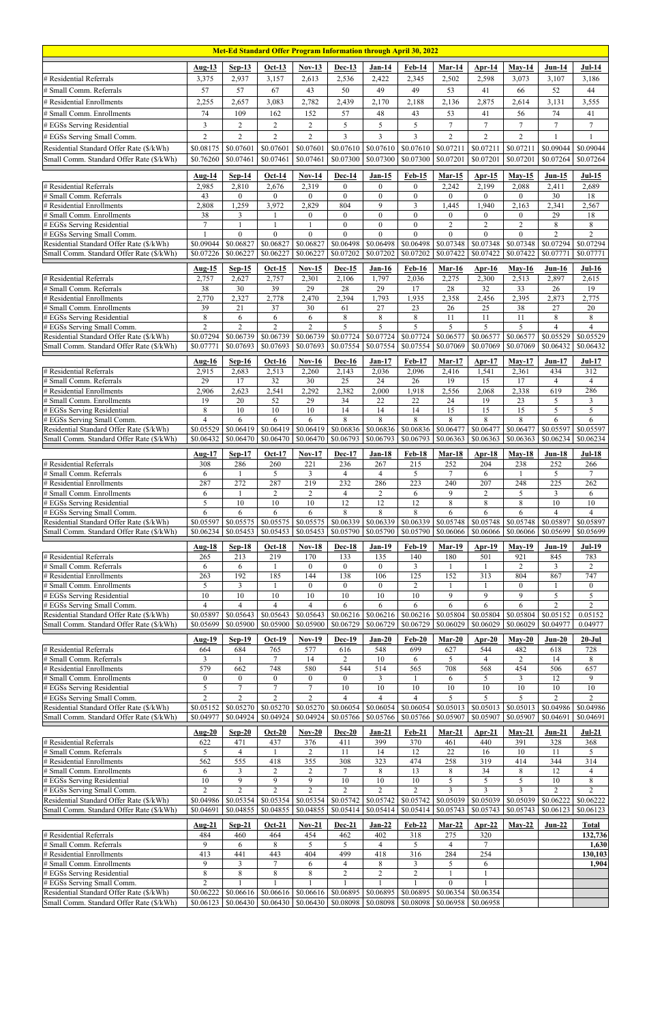| Met-Ed Standard Offer Program Information through April 30, 2022                     |                             |                             |                             |                             |                             |                       |                                               |                             |                             |                             |                             |                             |
|--------------------------------------------------------------------------------------|-----------------------------|-----------------------------|-----------------------------|-----------------------------|-----------------------------|-----------------------|-----------------------------------------------|-----------------------------|-----------------------------|-----------------------------|-----------------------------|-----------------------------|
|                                                                                      | Aug-13                      | $Sep-13$                    | <b>Oct-13</b>               | $Nov-13$                    | Dec-13                      | $Jan-14$              | <b>Feb-14</b>                                 | $Mar-14$                    | $Apr-14$                    | $May-14$                    | $Jun-14$                    | $Jul-14$                    |
| # Residential Referrals                                                              | 3,375                       | 2,937                       | 3,157                       | 2,613                       | 2,536                       | 2,422                 | 2,345                                         | 2,502                       | 2,598                       | 3,073                       | 3,107                       | 3,186                       |
| # Small Comm. Referrals                                                              | 57                          | 57                          | 67                          | 43                          | 50                          | 49                    | 49                                            | 53                          | 41                          | 66                          | 52                          | 44                          |
| # Residential Enrollments                                                            | 2,255                       | 2,657                       | 3,083                       | 2,782                       | 2,439                       | 2,170                 | 2,188                                         | 2,136                       | 2,875                       | 2,614                       | 3,131                       | 3,555                       |
| # Small Comm. Enrollments                                                            | 74                          | 109                         | 162                         | 152                         | 57                          | 48                    | 43                                            | 53                          | 41                          | 56                          | 74                          | 41                          |
| # EGSs Serving Residential                                                           | $\mathfrak{Z}$              | $\overline{2}$              | $\overline{2}$              | $\overline{2}$              | 5                           | 5                     | 5                                             | $\overline{7}$              | $\tau$                      | $\overline{7}$              | $\tau$                      | $\boldsymbol{7}$            |
| # EGSs Serving Small Comm.                                                           | $\overline{2}$              | $\overline{2}$              | $\overline{2}$              | $\overline{2}$              | 3                           | 3                     | $\overline{3}$                                | 2                           | $\overline{2}$              | 2                           | 1                           | 1                           |
| Residential Standard Offer Rate (\$/kWh)                                             | \$0.08175                   | \$0.07601                   | \$0.07601                   | \$0.07601                   | \$0.07610                   | \$0.07610             | \$0.07610                                     | \$0.07211                   | \$0.07211                   | \$0.07211                   | \$0.09044                   | \$0.09044                   |
| Small Comm. Standard Offer Rate (\$/kWh)                                             | \$0.76260                   | \$0.07461                   | \$0.07461                   | \$0.07461                   | \$0.07300                   | \$0.07300             | \$0.07300                                     | \$0.07201                   | \$0.07201                   | \$0.07201                   | \$0.07264                   | \$0.07264                   |
|                                                                                      | <b>Aug-14</b>               | $Sep-14$                    | $Oct-14$                    | $Nov-14$                    | <b>Dec-14</b>               | $Jan-15$              | $Feb-15$                                      | <b>Mar-15</b>               | Apr- $15$                   | $May-15$                    | $Jun-15$                    | $Jul-15$                    |
| # Residential Referrals                                                              | 2,985                       | 2,810                       | 2,676                       | 2,319                       | $\theta$                    | $\mathbf{0}$          | $\overline{0}$                                | 2,242                       | 2,199                       | 2,088                       | 2,411                       | 2,689                       |
| # Small Comm. Referrals<br># Residential Enrollments                                 | 43<br>2,808                 | $\overline{0}$<br>1,259     | $\overline{0}$<br>3,972     | $\overline{0}$<br>2,829     | $\overline{0}$<br>804       | $\mathbf{0}$<br>9     | $\boldsymbol{0}$<br>$\mathfrak{Z}$            | $\overline{0}$<br>1,445     | $\overline{0}$<br>1,940     | $\overline{0}$<br>2,163     | 30<br>2,341                 | 18<br>2,567                 |
| # Small Comm. Enrollments                                                            | 38                          | 3                           |                             | $\overline{0}$              | $\theta$                    | $\theta$              | $\theta$                                      | $\overline{0}$              | $\mathbf{0}$                | $\theta$                    | 29                          | 18                          |
| # EGSs Serving Residential                                                           | $\overline{7}$              | $\mathbf{1}$                | $\overline{1}$              | $\mathbf{1}$                | $\overline{0}$              | $\boldsymbol{0}$      | $\boldsymbol{0}$                              | $\sqrt{2}$                  | $\overline{c}$              | $\overline{2}$              | $\,8\,$                     | $\,8\,$                     |
| # EGSs Serving Small Comm.<br>Residential Standard Offer Rate (\$/kWh)               | \$0.09044                   | $\theta$<br>\$0.06827       | $\theta$<br>\$0.06827       | $\theta$<br>\$0.06827       | $\Omega$<br>\$0.06498       | $\theta$<br>\$0.06498 | $\theta$<br>\$0.06498                         | $\theta$<br>\$0.07348       | $\theta$<br>\$0.07348       | $\theta$<br>\$0.07348       | $\overline{2}$<br>\$0.07294 | $\overline{2}$<br>\$0.07294 |
| Small Comm. Standard Offer Rate (\$/kWh)                                             | \$0.07226                   | \$0.06227                   | \$0.06227                   | \$0.06227                   | \$0.07202                   | \$0.07202             | \$0.07202                                     | \$0.07422                   | \$0.07422                   | \$0.07422                   | \$0.07771                   | \$0.07771                   |
|                                                                                      | Aug-15                      | $Sep-15$                    | $Oct-15$                    | <b>Nov-15</b>               | <b>Dec-15</b>               | <b>Jan-16</b>         | <b>Feb-16</b>                                 | $Mar-16$                    | Apr- $16$                   | $May-16$                    | $Jun-16$                    | $Jul-16$                    |
| # Residential Referrals                                                              | 2,757                       | 2,627                       | 2,757                       | 2,301                       | 2,106                       | 1,797                 | 2,036                                         | 2,275                       | 2,300                       | 2,513                       | 2,897                       | 2,615                       |
| # Small Comm. Referrals                                                              | $\overline{38}$             | $\overline{30}$             | 39                          | $\overline{29}$             | 28                          | $\overline{29}$       | $\overline{17}$                               | 28                          | $\overline{32}$             | $\overline{33}$             | $\overline{26}$             | 19                          |
| # Residential Enrollments                                                            | 2,770                       | 2,327                       | 2,778                       | 2,470                       | 2,394                       | 1,793                 | 1,935                                         | 2,358                       | 2,456                       | 2,395                       | 2,873                       | 2,775                       |
| # Small Comm. Enrollments<br># EGSs Serving Residential                              | 39<br>$\overline{8}$        | 21<br>6                     | 37<br>6                     | 30<br>6                     | 61<br>8                     | 27<br>$\,8\,$         | 23<br>8                                       | 26<br>11                    | 25<br>11                    | 38<br>$\overline{11}$       | 27<br>$\,$ 8 $\,$           | $20\,$<br>$\overline{8}$    |
| # EGSs Serving Small Comm.                                                           | $\overline{2}$              | $\overline{2}$              | $\overline{2}$              | $\overline{2}$              | 5                           | $\overline{5}$        | $\overline{5}$                                | 5                           | 5                           | 5                           | $\overline{\mathbf{4}}$     | $\overline{4}$              |
| Residential Standard Offer Rate (\$/kWh)                                             | \$0.07294                   | \$0.06739                   | \$0.06739                   | \$0.06739                   | \$0.07724                   | $\overline{$}0.07724$ | \$0.07724                                     | \$0.06577                   | \$0.06577                   | \$0.06577                   | \$0.05529                   | \$0.05529                   |
| Small Comm. Standard Offer Rate (\$/kWh)                                             | \$0.07771                   | \$0.07693                   | \$0.07693                   | \$0.07693                   | \$0.07554                   | \$0.07554             | \$0.07554                                     | \$0.07069                   | \$0.07069                   | \$0.07069                   | \$0.06432                   | \$0.06432                   |
|                                                                                      | <b>Aug-16</b>               | $Sep-16$                    | $Oct-16$                    | $Nov-16$                    | <b>Dec-16</b>               | <b>Jan-17</b>         | <b>Feb-17</b>                                 | $Mar-17$                    | $Arr-17$                    | $May-17$                    | $Jun-17$                    | <b>Jul-17</b>               |
| # Residential Referrals                                                              | 2,915                       | 2,683                       | 2,513                       | 2,260                       | 2,143                       | 2,036                 | 2,096                                         | 2,416                       | 1,541                       | 2,361                       | 434                         | 312                         |
| # Small Comm. Referrals<br># Residential Enrollments                                 | 29<br>2,906                 | 17<br>2,623                 | 32<br>2,541                 | 30<br>2,292                 | 25<br>2,382                 | 24<br>2,000           | $26\,$<br>1,918                               | 19<br>2,556                 | 15<br>2,068                 | 17<br>2,338                 | $\overline{4}$<br>619       | $\overline{4}$<br>286       |
| # Small Comm. Enrollments                                                            | 19                          | $20\,$                      | $\overline{52}$             | $\overline{29}$             | 34                          | 22                    | $\overline{22}$                               | 24                          | 19                          | 23                          | $\sqrt{5}$                  | $\mathfrak{Z}$              |
| # EGSs Serving Residential                                                           | 8                           | 10                          | $10\,$                      | 10                          | 14                          | 14                    | 14                                            | 15                          | 15                          | $\overline{15}$             | 5                           | $\overline{5}$              |
| # EGSs Serving Small Comm.                                                           | $\overline{4}$<br>\$0.05529 | 6<br>\$0.06419              | 6<br>\$0.06419              | 6<br>\$0.06419              | 8<br>\$0.06836              | 8<br>\$0.06836        | 8<br>\$0.06836                                | 8<br>\$0.06477              | 8<br>\$0.06477              | 8<br>\$0.06477              | 6<br>\$0.05597              | 6<br>\$0.05597              |
| Residential Standard Offer Rate (\$/kWh)<br>Small Comm. Standard Offer Rate (\$/kWh) | \$0.06432                   | \$0.06470                   | \$0.06470                   | \$0.06470                   | \$0.06793                   | \$0.06793             | \$0.06793                                     | \$0.06363                   | \$0.06363                   | \$0.06363                   | \$0.06234                   | \$0.06234                   |
|                                                                                      |                             |                             |                             |                             |                             |                       |                                               |                             |                             |                             | $Jun-18$                    |                             |
| # Residential Referrals                                                              | Aug- $17$<br>308            | $Sep-17$<br>286             | $Oct-17$<br>260             | $Nov-17$<br>221             | Dec-17<br>236               | <b>Jan-18</b><br>267  | <b>Feb-18</b><br>215                          | <b>Mar-18</b><br>252        | $Apr-18$<br>204             | $May-18$<br>238             | 252                         | $Jul-18$<br>266             |
| # Small Comm. Referrals                                                              | 6                           |                             | 5                           | $\mathfrak{Z}$              | 4                           | 4                     | 5                                             | $\tau$                      | 6                           |                             | 5                           | $\tau$                      |
| # Residential Enrollments                                                            | 287                         | 272                         | 287                         | 219                         | 232                         | 286                   | 223                                           | 240                         | 207                         | 248                         | $\overline{225}$            | 262                         |
| # Small Comm. Enrollments<br># EGSs Serving Residential                              | 6<br>5                      | 10                          | 2<br>10                     | $\overline{2}$<br>10        | $\overline{4}$<br>12        | 2<br>12               | 6<br>12                                       | 9<br>8                      | $\overline{2}$<br>8         | 5<br>8                      | 3<br>10                     | 6<br>$10\,$                 |
| # EGSs Serving Small Comm.                                                           | 6                           | 6                           | 6                           | 6                           | 8                           | 8                     | 8                                             | 6                           | 6                           | 6                           | $\overline{4}$              | $\overline{4}$              |
| Residential Standard Offer Rate (\$/kWh)                                             | \$0.05597                   | \$0.05575                   | \$0.05575                   | \$0.05575                   | \$0.06339                   | \$0.06339             | \$0.06339                                     | \$0.05748                   | \$0.05748                   | \$0.05748                   | \$0.05897                   | \$0.05897                   |
| Small Comm. Standard Offer Rate (\$/kWh)                                             | \$0.06234                   | \$0.05453                   | \$0.05453                   | \$0.05453                   | \$0.05790                   | \$0.05790             | \$0.05790                                     | \$0.06066                   | \$0.06066                   | \$0.06066                   | \$0.05699                   | \$0.05699                   |
|                                                                                      | <b>Aug-18</b>               | $Sep-18$                    | $Oct-18$                    | $Nov-18$                    | <b>Dec-18</b>               | <b>Jan-19</b>         | <b>Feb-19</b>                                 | <b>Mar-19</b>               | $Apr-19$                    | $May-19$                    | Jun-19                      | <b>Jul-19</b>               |
| # Residential Referrals<br># Small Comm. Referrals                                   | 265                         | 213                         | 219                         | 170<br>$\theta$             | 133<br>$\theta$             | 135                   | 140<br>$\overline{3}$                         | 180                         | 501                         | 921<br>$\overline{2}$       | 845<br>3                    | 783<br>$\overline{2}$       |
| # Residential Enrollments                                                            | 6<br>263                    | 6<br>192                    | 185                         | 144                         | 138                         | $\overline{0}$<br>106 | 125                                           | 152                         | 313                         | 804                         | 867                         | 747                         |
| # Small Comm. Enrollments                                                            | 5                           | $\overline{3}$              |                             | $\theta$                    | $\theta$                    | $\theta$              | $\overline{2}$                                |                             | $\mathbf{1}$                | $\theta$                    |                             | $\boldsymbol{0}$            |
| # EGSs Serving Residential                                                           | 10                          | $\overline{10}$             | $10\,$                      | 10                          | 10                          | 10                    | $\overline{10}$                               | 9                           | 9                           | 9                           | 5                           | $\overline{5}$              |
| # EGSs Serving Small Comm.<br>Residential Standard Offer Rate (\$/kWh)               | $\overline{4}$<br>\$0.05897 | $\overline{4}$<br>\$0.05643 | $\overline{4}$<br>\$0.05643 | 4<br>\$0.05643              | 6<br>\$0.06216              | 6<br>\$0.06216        | 6<br>\$0.06216                                | 6<br>\$0.05804              | 6<br>\$0.05804              | 6<br>\$0.05804              | $\overline{2}$<br>\$0.05152 | $\overline{2}$<br>0.05152   |
| Small Comm. Standard Offer Rate (\$/kWh)                                             | \$0.05699                   | \$0.05900                   | \$0.05900                   | \$0.05900                   | \$0.06729                   | \$0.06729             | \$0.06729                                     | \$0.06029                   | \$0.06029                   | \$0.06029                   | \$0.04977                   | 0.04977                     |
|                                                                                      | <b>Aug-19</b>               | $Sep-19$                    | $Oct-19$                    | $Nov-19$                    | Dec-19                      | $Jan-20$              | $Feb-20$                                      | $Mar-20$                    | $Ar-20$                     | $May-20$                    | $Jun-20$                    | $20 -$ Jul                  |
| # Residential Referrals                                                              | 664                         | 684                         | 765                         | 577                         | 616                         | 548                   | 699                                           | 627                         | 544                         | 482                         | 618                         | 728                         |
| # Small Comm. Referrals                                                              | 3                           |                             | $\tau$                      | 14                          | 2                           | 10                    | 6                                             | 5                           | $\overline{4}$              | 2                           | 14                          | $\,8\,$                     |
| # Residential Enrollments                                                            | 579                         | 662                         | 748<br>$\mathbf{0}$         | 580<br>$\theta$             | 544                         | 514                   | 565                                           | 708                         | 568                         | 454<br>3                    | 506<br>$\overline{12}$      | 657<br>9                    |
| # Small Comm. Enrollments<br># EGSs Serving Residential                              | $\overline{0}$<br>5         | $\overline{0}$<br>$\tau$    | $\boldsymbol{7}$            | $\tau$                      | $\overline{0}$<br>10        | 3<br>10               | 10                                            | 6<br>10                     | 5<br>10                     | 10                          | 10                          | $10\,$                      |
| # EGSs Serving Small Comm.                                                           | $\overline{2}$              | $\overline{2}$              | $\overline{2}$              | $\overline{2}$              | $\overline{4}$              | $\overline{4}$        | $\overline{4}$                                | 5                           | 5                           | 5                           | $\overline{2}$              | $\overline{2}$              |
| Residential Standard Offer Rate (\$/kWh)                                             | \$0.05152                   | \$0.05270                   | \$0.05270                   | \$0.05270                   | \$0.06054                   | \$0.06054             | \$0.06054                                     | \$0.05013                   | \$0.05013                   | \$0.05013                   | \$0.04986                   | \$0.04986                   |
| Small Comm. Standard Offer Rate (\$/kWh)                                             | \$0.04977                   | \$0.04924                   | $\overline{$}0.04924$       | \$0.04924                   | \$0.05766                   | $\sqrt{$0.05766}$     | \$0.05766                                     | \$0.05907                   | \$0.05907                   | \$0.05907                   | \$0.04691                   | \$0.04691                   |
|                                                                                      | Aug-20                      | $Sep-20$                    | $Oct-20$                    | $Nov-20$                    | <b>Dec-20</b>               | $Jan-21$              | <b>Feb-21</b>                                 | $Mar-21$                    | $Arr-21$                    | $May-21$                    | $Jun-21$                    | $Jul-21$                    |
| # Residential Referrals<br># Small Comm. Referrals                                   | 622<br>5                    | 471<br>$\overline{4}$       | 437                         | 376<br>$\overline{2}$       | 411<br>11                   | 399<br>14             | 370<br>12                                     | 461<br>22                   | 440<br>16                   | 391<br>10                   | 328<br>11                   | 368<br>5                    |
| # Residential Enrollments                                                            | 562                         | 555                         | 418                         | 355                         | 308                         | 323                   | 474                                           | 258                         | 319                         | 414                         | 344                         | $\overline{314}$            |
| # Small Comm. Enrollments                                                            | 6                           | 3                           | $\overline{2}$              | $\overline{2}$              | $\tau$                      | $\,8\,$               | $\overline{13}$                               | $\,8\,$                     | 34                          | 8                           | 12                          | $\overline{4}$              |
| # EGSs Serving Residential                                                           | 10                          | 9                           | 9                           | 9                           | 10                          | 10                    | $\overline{10}$                               | $\sqrt{5}$                  | 5                           | 5                           | 10                          | $\,8\,$                     |
| # EGSs Serving Small Comm.<br>Residential Standard Offer Rate (\$/kWh)               | $\overline{c}$<br>\$0.04986 | $\overline{c}$<br>\$0.05354 | $\overline{2}$              | $\overline{c}$              | $\overline{c}$<br>\$0.05742 | $\overline{c}$        | $\overline{c}$<br>$$0.05742 \;   \; $0.05742$ | $\mathfrak{Z}$<br>\$0.05039 | $\mathfrak{Z}$<br>\$0.05039 | $\mathfrak{Z}$<br>\$0.05039 | $\overline{c}$<br>\$0.06222 | $\sqrt{2}$<br>\$0.06222     |
| Small Comm. Standard Offer Rate (\$/kWh)                                             | \$0.04691                   | \$0.04855                   | $$0.04855$ $$0.04855$       |                             | \$0.05414                   | \$0.05414             | \$0.05414                                     | \$0.05743                   | \$0.05743                   | \$0.05743                   | \$0.06123                   | \$0.06123                   |
|                                                                                      | <b>Aug-21</b>               | $Sep-21$                    | $Oct-21$                    | $Nov-21$                    | <b>Dec-21</b>               | $Jan-22$              | $Feb-22$                                      | $Mar-22$                    | Apr- $22$                   | $May-22$                    | $Jun-22$                    | <b>Total</b>                |
| # Residential Referrals                                                              | 484                         | 460                         | 464                         | 454                         | 462                         | 402                   | 318                                           | 275                         | 320                         |                             |                             | 132,736                     |
| # Small Comm. Referrals                                                              | 9                           | 6                           | 8                           | 5                           | 5                           | $\overline{4}$        | 5                                             | $\overline{4}$              | $\tau$                      |                             |                             | 1,630                       |
| # Residential Enrollments<br># Small Comm. Enrollments                               | 413<br>9                    | 441<br>3                    | 443<br>7                    | 404<br>6                    | 499<br>4                    | 418<br>8              | 316<br>3                                      | 284<br>5                    | 254<br>6                    |                             |                             | 130,103<br>1,904            |
| # EGSs Serving Residential                                                           | $\,$ $\,$                   | 8                           | $\,8\,$                     | $\,8\,$                     | $\overline{c}$              | $\overline{c}$        | $\overline{c}$                                |                             | 1                           |                             |                             |                             |
| # EGSs Serving Small Comm.                                                           | $\overline{2}$              |                             |                             |                             |                             |                       |                                               | $\mathbf{0}$                |                             |                             |                             |                             |
| Residential Standard Offer Rate (\$/kWh)                                             | \$0.06222                   | \$0.06616                   | \$0.06616                   | \$0.06616                   | \$0.06895                   | \$0.06895             | \$0.06895                                     | \$0.06354                   | \$0.06354                   |                             |                             |                             |
| Small Comm. Standard Offer Rate (\$/kWh)                                             | \$0.06123                   | \$0.06430                   |                             | $$0.06430 \,   \, $0.06430$ | \$0.08098                   | \$0.08098             | \$0.08098                                     | \$0.06958                   | \$0.06958                   |                             |                             |                             |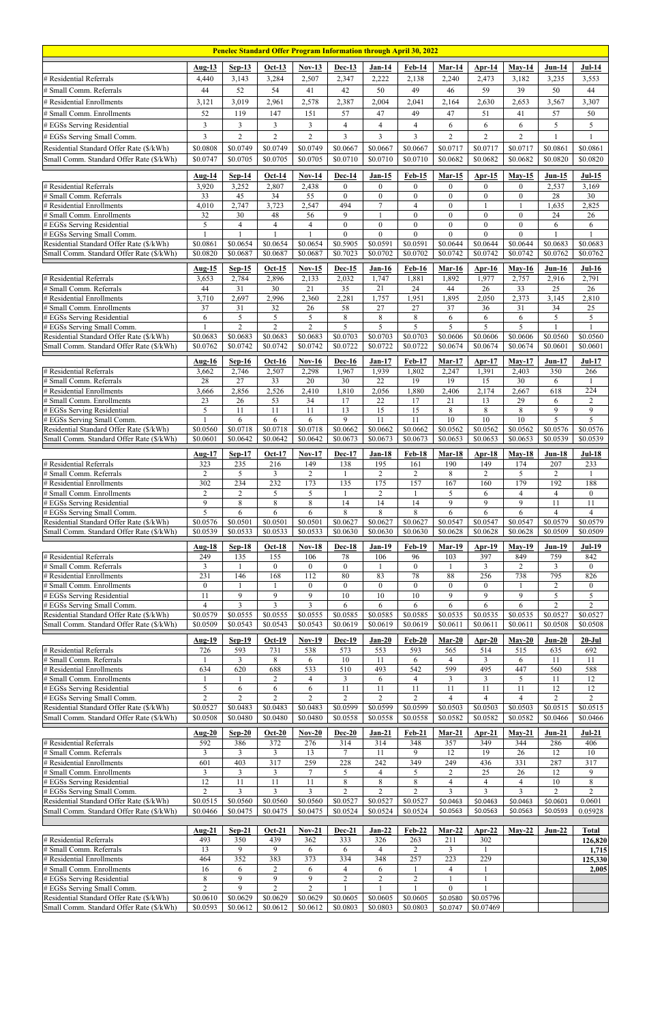| <b>Penelec Standard Offer Program Information through April 30, 2022</b> |                            |                                  |                                  |                                    |                           |                            |                            |                              |                                     |                            |                            |                                |
|--------------------------------------------------------------------------|----------------------------|----------------------------------|----------------------------------|------------------------------------|---------------------------|----------------------------|----------------------------|------------------------------|-------------------------------------|----------------------------|----------------------------|--------------------------------|
|                                                                          | Aug-13                     | $Sep-13$                         | $Oct-13$                         | <b>Nov-13</b>                      | <b>Dec-13</b>             | <b>Jan-14</b>              | <b>Feb-14</b>              | Mar-14                       | $Ar-14$                             | $May-14$                   | $Jun-14$                   | $Jul-14$                       |
| # Residential Referrals                                                  | 4,440                      | 3,143                            | 3,284                            | 2,507                              | 2,347                     | 2,222                      | 2,138                      | 2,240                        | 2,473                               | 3,182                      | 3,235                      | 3,553                          |
| # Small Comm. Referrals                                                  | 44                         | 52                               | 54                               | 41                                 | 42                        | 50                         | 49                         | 46                           | 59                                  | 39                         | 50                         | 44                             |
| # Residential Enrollments                                                | 3,121                      | 3,019                            | 2,961                            | 2,578                              | 2,387                     | 2,004                      | 2,041                      | 2,164                        | 2,630                               | 2,653                      | 3,567                      | 3,307                          |
| # Small Comm. Enrollments                                                | 52                         | 119                              | 147                              | 151                                | 57                        | 47                         | 49                         | 47                           | 51                                  | 41                         | 57                         | 50                             |
| # EGSs Serving Residential                                               | $\overline{3}$             | $\overline{\mathbf{3}}$          | $\mathfrak{Z}$                   | $\mathfrak{Z}$                     | $\overline{4}$            | $\overline{4}$             | $\overline{4}$             | 6                            | 6                                   | 6                          | 5                          | 5                              |
| # EGSs Serving Small Comm.                                               | 3                          | $\overline{2}$                   | $\overline{2}$                   | $\overline{c}$                     | 3                         | $\mathfrak{Z}$             | $\overline{3}$             | $\overline{2}$               | $\overline{2}$                      | $\overline{2}$             |                            | 1                              |
| Residential Standard Offer Rate (\$/kWh)                                 | \$0.0808                   | \$0.0749                         | \$0.0749                         | \$0.0749                           | \$0.0667                  | \$0.0667                   | \$0.0667                   | \$0.0717                     | \$0.0717                            | \$0.0717                   | \$0.0861                   | \$0.0861                       |
| Small Comm. Standard Offer Rate (\$/kWh)                                 | \$0.0747                   | \$0.0705                         | \$0.0705                         | \$0.0705                           | \$0.0710                  | \$0.0710                   | \$0.0710                   | \$0.0682                     | \$0.0682                            | \$0.0682                   | \$0.0820                   | \$0.0820                       |
|                                                                          | <b>Aug-14</b>              | $Sep-14$                         | $Oct-14$                         | $Nov-14$                           | <b>Dec-14</b>             | $Jan-15$                   | <b>Feb-15</b>              | $Mar-15$                     | Apr- $15$                           | $May-15$                   | $Jun-15$                   | $Jul-15$                       |
| # Residential Referrals                                                  | 3,920                      | 3,252                            | 2,807                            | 2,438                              | $\overline{0}$            | $\mathbf{0}$               | $\overline{0}$             | $\mathbf{0}$                 | $\overline{0}$                      | $\mathbf{0}$               | 2,537                      | 3,169                          |
| # Small Comm. Referrals                                                  | 33                         | 45                               | 34                               | $\overline{55}$                    | $\boldsymbol{0}$          | $\boldsymbol{0}$           | $\mathbf{0}$               | $\mathbf{0}$                 | $\boldsymbol{0}$                    | $\boldsymbol{0}$           | 28                         | 30                             |
| # Residential Enrollments<br># Small Comm. Enrollments                   | 4,010<br>32                | 2,747<br>30                      | 3,723<br>48                      | 2,547<br>56                        | 494<br>9                  | $\tau$<br>$\mathbf{1}$     | $\overline{4}$<br>$\theta$ | $\mathbf{0}$<br>$\mathbf{0}$ | $\mathbf{1}$<br>$\theta$            | $\Omega$                   | 1,635<br>24                | 2,825<br>$26\,$                |
| # EGSs Serving Residential                                               | 5                          | $\overline{\mathcal{L}}$         | $\overline{4}$                   | $\overline{4}$                     | $\Omega$                  | $\mathbf{0}$               | $\theta$                   | $\theta$                     | $\theta$                            | $\theta$                   | 6                          | 6                              |
| # EGSs Serving Small Comm.                                               |                            |                                  |                                  |                                    | $\Omega$                  | $\theta$                   | $\boldsymbol{0}$           | $\theta$                     | $\boldsymbol{0}$                    | $\theta$                   |                            |                                |
| Residential Standard Offer Rate (\$/kWh)                                 | \$0.0861<br>\$0.0820       | \$0.0654<br>\$0.0687             | \$0.0654<br>\$0.0687             | \$0.0654<br>\$0.0687               | \$0.5905<br>\$0.7023      | \$0.0591<br>\$0.0702       | \$0.0591<br>\$0.0702       | \$0.0644<br>\$0.0742         | \$0.0644<br>\$0.0742                | \$0.0644<br>\$0.0742       | \$0.0683<br>\$0.0762       | \$0.0683<br>\$0.0762           |
| Small Comm. Standard Offer Rate (\$/kWh)                                 |                            |                                  |                                  |                                    |                           |                            |                            |                              |                                     |                            |                            |                                |
|                                                                          | <b>Aug-15</b>              | $Sep-15$                         | $Oct-15$                         | $Nov-15$                           | <b>Dec-15</b>             | <b>Jan-16</b>              | <b>Feb-16</b>              | $Mar-16$                     | $Ar-16$                             | $May-16$                   | $Jun-16$                   | $Jul-16$                       |
| # Residential Referrals<br># Small Comm. Referrals                       | 3,653<br>44                | 2,784<br>31                      | 2,896<br>$\overline{30}$         | 2,133<br>$\overline{21}$           | 2,032<br>35               | 1,747<br>21                | 1,881<br>24                | 1,892<br>44                  | 1,977<br>26                         | 2,757<br>33                | 2,916<br>$\overline{25}$   | 2,791<br>$\overline{26}$       |
| # Residential Enrollments                                                | 3,710                      | 2,697                            | 2,996                            | 2,360                              | 2,281                     | 1,757                      | 1,951                      | 1,895                        | 2,050                               | 2,373                      | 3,145                      | 2,810                          |
| # Small Comm. Enrollments                                                | 37                         | 31                               | 32                               | 26                                 | 58                        | 27                         | 27                         | 37                           | 36                                  | 31                         | 34                         | 25                             |
| # EGSs Serving Residential                                               | 6                          | $\overline{5}$<br>$\overline{2}$ | $\overline{5}$<br>$\overline{2}$ | $\overline{5}$<br>$\overline{2}$   | $8\,$                     | $\,8\,$<br>5               | 8<br>5                     | 6                            | 6<br>5                              | 6<br>5                     | $\overline{5}$             | $\overline{5}$<br>$\mathbf{1}$ |
| # EGSs Serving Small Comm.<br>Residential Standard Offer Rate (\$/kWh)   | \$0.0683                   | \$0.0683                         | \$0.0683                         | \$0.0683                           | 5<br>$\overline{$0.0703}$ | \$0.0703                   | \$0.0703                   | 5<br>\$0.0606                | \$0.0606                            | \$0.0606                   | \$0.0560                   | \$0.0560                       |
| Small Comm. Standard Offer Rate (\$/kWh)                                 | \$0.0762                   | \$0.0742                         | \$0.0742                         | \$0.0742                           | \$0.0722                  | \$0.0722                   | \$0.0722                   | \$0.0674                     | \$0.0674                            | \$0.0674                   | \$0.0601                   | \$0.0601                       |
|                                                                          | Aug- $16$                  | $Sep-16$                         | $Oct-16$                         | $Nov-16$                           | <b>Dec-16</b>             | $Jan-17$                   | <b>Feb-17</b>              | Mar-17                       | $Arr-17$                            | $May-17$                   | $Jun-17$                   | <b>Jul-17</b>                  |
| # Residential Referrals                                                  | 3,662                      | 2,746                            | 2,507                            | 2,298                              | 1,967                     | 1,939                      | 1,802                      | 2,247                        | 1,391                               | 2,403                      | 350                        | 266                            |
| # Small Comm. Referrals                                                  | 28                         | 27                               | 33                               | 20                                 | 30                        | $22\,$                     | 19                         | 19                           | 15                                  | 30                         | 6                          |                                |
| # Residential Enrollments                                                | 3,666                      | 2,856                            | 2,526                            | 2,410                              | 1,810                     | 2,056                      | 1,880                      | 2,406                        | 2,174                               | 2,667                      | 618                        | 224                            |
| # Small Comm. Enrollments<br># EGSs Serving Residential                  | $\overline{23}$<br>5       | 26<br>11                         | $\overline{53}$<br>11            | $\overline{34}$<br>11              | 17<br>13                  | 22<br>15                   | 17<br>15                   | 21<br>$\,8\,$                | 13<br>8                             | 29<br>8                    | 6<br>9                     | $\mathbf{2}$<br>9              |
| # EGSs Serving Small Comm.                                               |                            | 6                                | 6                                | 6                                  | 9                         | 11                         | 11                         | 10                           | 10                                  | 10                         | 5                          | 5                              |
| Residential Standard Offer Rate (\$/kWh)                                 | \$0.0560                   | \$0.0718                         | \$0.0718                         | \$0.0718                           | \$0.0662                  | \$0.0662                   | \$0.0662                   | \$0.0562                     | \$0.0562                            | \$0.0562                   | \$0.0576                   | \$0.0576                       |
| Small Comm. Standard Offer Rate (\$/kWh)                                 | \$0.0601                   | \$0.0642                         | \$0.0642                         | \$0.0642                           | \$0.0673                  | \$0.0673                   | \$0.0673                   | \$0.0653                     | \$0.0653                            | \$0.0653                   | \$0.0539                   | \$0.0539                       |
|                                                                          | Aug- $17$                  | $Sep-17$                         | Oct-17                           | $Nov-17$                           | Dec-17                    | <b>Jan-18</b>              | <b>Feb-18</b>              | Mar-18                       | Apr-18                              | $Mav-18$                   | $Jun-18$                   | $Jul-18$                       |
| # Residential Referrals                                                  | 323                        | 235                              | 216                              | 149                                | 138                       | 195                        | 161                        | 190                          | 149                                 | 174                        | 207                        | 233                            |
| # Small Comm. Referrals<br># Residential Enrollments                     | 2<br>302                   | 5<br>234                         | $\mathfrak{Z}$<br>232            | $\overline{2}$<br>173              | 135                       | 2<br>175                   | $\overline{2}$<br>157      | 8<br>167                     | $\overline{2}$<br>160               | 5<br>179                   | 2<br>192                   | 188                            |
| # Small Comm. Enrollments                                                | $\overline{2}$             | $\overline{c}$                   | 5                                | 5                                  |                           | $\sqrt{2}$                 |                            | 5                            | 6                                   | $\overline{4}$             | $\overline{4}$             | $\overline{0}$                 |
| # EGSs Serving Residential                                               | 9                          | 8                                | $\,8\,$                          | 8                                  | 14                        | 14                         | 14                         | 9                            | 9                                   | 9                          | 11                         | 11                             |
| # EGSs Serving Small Comm.<br>Residential Standard Offer Rate (\$/kWh)   | 5                          | 6                                | 6                                | 6                                  | 8                         | 8                          | 8                          | 6                            | 6                                   | 6                          | $\overline{4}$             | $\overline{4}$                 |
| Small Comm. Standard Offer Rate (\$/kWh)                                 | \$0.0576<br>\$0.0539       | \$0.0501<br>\$0.0533             | \$0.0501<br>\$0.0533             | \$0.0501<br>\$0.0533               | \$0.0627<br>\$0.0630      | \$0.0627<br>\$0.0630       | \$0.0627<br>\$0.0630       | \$0.0547<br>\$0.0628         | \$0.0547<br>\$0.0628                | \$0.0547<br>\$0.0628       | \$0.0579<br>\$0.0509       | \$0.0579<br>\$0.0509           |
|                                                                          |                            |                                  |                                  |                                    |                           |                            |                            |                              |                                     |                            |                            |                                |
| # Residential Referrals                                                  | Aug- $18$<br>249           | $Sep-18$<br>135                  | $Oct-18$<br>155                  | <b>Nov-18</b><br>106               | <b>Dec-18</b><br>78       | $Jan-19$<br>106            | <b>Feb-19</b><br>96        | Mar-19<br>103                | $Apr-19$<br>397                     | $Mav-19$<br>849            | <b>Jun-19</b><br>759       | $Jul-19$<br>842                |
| # Small Comm. Referrals                                                  | 3                          |                                  | $\overline{0}$                   | $\overline{0}$                     | $\theta$                  |                            | $\theta$                   |                              | 3                                   | 2                          | 3                          | $\mathbf{0}$                   |
| # Residential Enrollments                                                | 231                        | 146                              | 168                              | 112                                | 80                        | 83                         | 78                         | 88                           | 256                                 | 738                        | 795                        | 826                            |
| # Small Comm. Enrollments                                                | $\mathbf{0}$<br>11         | 9                                | 9                                | $\theta$<br>9                      | $\overline{0}$<br>10      | $\mathbf{0}$<br>$10\,$     | $\Omega$<br>10             | $\theta$<br>9                | $\overline{0}$<br>9                 | 9                          | $\overline{2}$<br>5        | $\mathbf{0}$<br>5              |
| # EGSs Serving Residential<br># EGSs Serving Small Comm.                 | $\overline{4}$             | 3                                | $\mathfrak{Z}$                   | 3                                  | 6                         | 6                          | 6                          | 6                            | 6                                   | 6                          | $\overline{2}$             | $\overline{2}$                 |
| Residential Standard Offer Rate (\$/kWh)                                 | \$0.0579                   | \$0.0555                         | \$0.0555                         | \$0.0555                           | \$0.0585                  | \$0.0585                   | \$0.0585                   | \$0.0535                     | \$0.0535                            | \$0.0535                   | \$0.0527                   | \$0.0527                       |
| Small Comm. Standard Offer Rate (\$/kWh)                                 | \$0.0509                   | \$0.0543                         | \$0.0543                         | \$0.0543                           | \$0.0619                  | \$0.0619                   | \$0.0619                   | \$0.0611                     | \$0.0611                            | \$0.0611                   | \$0.0508                   | \$0.0508                       |
|                                                                          | <b>Aug-19</b>              | $Sep-19$                         | $Oct-19$                         | $Nov-19$                           | <b>Dec-19</b>             | $Jan-20$                   | <b>Feb-20</b>              | $Mar-20$                     | $Ar-20$                             | $May-20$                   | $Jun-20$                   | $20 -$ Jul                     |
| # Residential Referrals                                                  | 726                        | 593                              | 731                              | 538                                | 573                       | 553                        | 593                        | 565                          | 514                                 | 515                        | 635                        | 692                            |
| # Small Comm. Referrals                                                  | $\mathbf{1}$               | 3                                | $\,8\,$                          | 6                                  | 10                        | 11                         | 6                          | $\overline{4}$               | 3                                   | 6                          | 11                         | 11                             |
| # Residential Enrollments<br># Small Comm. Enrollments                   | 634                        | 620<br>1                         | 688<br>$\overline{2}$            | $\overline{533}$<br>$\overline{4}$ | 510<br>3                  | 493<br>6                   | 542<br>$\overline{4}$      | 599<br>3                     | 495<br>$\mathbf{3}$                 | 447<br>5                   | 560<br>11                  | 588<br>12                      |
| # EGSs Serving Residential                                               | 5                          | 6                                | 6                                | 6                                  | 11                        | 11                         | 11                         | 11                           | 11                                  | 11                         | 12                         | 12                             |
| # EGSs Serving Small Comm.                                               | $\overline{2}$             | $\overline{2}$                   | $\overline{2}$                   | $\overline{2}$                     | $\overline{2}$            | $\overline{2}$             | $\overline{2}$             | $\overline{4}$               | $\overline{4}$                      | $\overline{4}$             | $\overline{2}$             | $\overline{2}$                 |
| Residential Standard Offer Rate (\$/kWh)                                 | \$0.0527<br>\$0.0508       | \$0.0483<br>\$0.0480             | \$0.0483<br>\$0.0480             | \$0.0483<br>\$0.0480               | \$0.0599<br>\$0.0558      | \$0.0599<br>\$0.0558       | \$0.0599<br>\$0.0558       | \$0.0503<br>\$0.0582         | \$0.0503<br>\$0.0582                | \$0.0503<br>\$0.0582       | \$0.0515<br>\$0.0466       | \$0.0515<br>\$0.0466           |
| Small Comm. Standard Offer Rate (\$/kWh)                                 |                            |                                  |                                  |                                    |                           |                            |                            |                              |                                     |                            |                            |                                |
|                                                                          | <b>Aug-20</b>              | $Sep-20$                         | $Oct-20$                         | $Nov-20$                           | <b>Dec-20</b>             | $Jan-21$                   | $Feb-21$                   | $Mar-21$                     | Apr- $21$                           | $May-21$                   | $Jun-21$                   | $Jul-21$                       |
| # Residential Referrals<br># Small Comm. Referrals                       | 592<br>3                   | 386<br>3                         | 372<br>$\overline{3}$            | 276<br>13                          | 314                       | 314<br>11                  | 348<br>9                   | 357<br>12                    | 349<br>19                           | 344<br>26                  | 286<br>12                  | 406<br>$10\,$                  |
| # Residential Enrollments                                                | 601                        | 403                              | 317                              | 259                                | 228                       | 242                        | 349                        | 249                          | 436                                 | 331                        | 287                        | 317                            |
| # Small Comm. Enrollments                                                | 3                          | 3                                | $\mathfrak{Z}$                   | $7\phantom{.0}$                    | 5                         | 4                          | 5                          | $\overline{2}$               | $\overline{25}$                     | 26                         | $\overline{12}$            | 9                              |
| # EGSs Serving Residential                                               | 12                         | 11                               | 11                               | 11                                 | 8                         | 8                          | 8                          | $\overline{4}$               | $\overline{4}$                      | $\overline{4}$             | 10                         | $\,8\,$                        |
| # EGSs Serving Small Comm.<br>Residential Standard Offer Rate (\$/kWh)   | $\overline{c}$<br>\$0.0515 | $\mathfrak{Z}$<br>\$0.0560       | $\overline{3}$<br>\$0.0560       | $\overline{3}$<br>\$0.0560         | $2^{7}$<br>\$0.0527       | $\overline{2}$<br>\$0.0527 | $\overline{c}$<br>\$0.0527 | $\overline{3}$<br>\$0.0463   | $\overline{\mathbf{3}}$<br>\$0.0463 | $\overline{3}$<br>\$0.0463 | $\overline{c}$<br>\$0.0601 | $\overline{c}$<br>0.0601       |
| Small Comm. Standard Offer Rate (\$/kWh)                                 | \$0.0466                   | \$0.0475                         | \$0.0475                         | \$0.0475                           | \$0.0524                  | \$0.0524                   | \$0.0524                   | \$0.0563                     | \$0.0563                            | \$0.0563                   | \$0.0593                   | 0.05928                        |
|                                                                          |                            |                                  |                                  |                                    |                           |                            |                            |                              |                                     |                            |                            |                                |
|                                                                          | <b>Aug-21</b>              | $Sep-21$                         | $Oct-21$                         | $Nov-21$                           | <b>Dec-21</b>             | $Jan-22$                   | $Feb-22$                   | $Mar-22$                     | Apr-22                              | $May-22$                   | $Jun-22$                   | <b>Total</b>                   |
| # Residential Referrals<br># Small Comm. Referrals                       | 493<br>13                  | 350<br>9                         | 439<br>9                         | 362<br>6                           | 333<br>6                  | 326<br>4                   | 263<br>$\overline{c}$      | 211<br>3                     | 302<br>1                            |                            |                            | 126,820<br>1,715               |
| # Residential Enrollments                                                | 464                        | 352                              | 383                              | 373                                | 334                       | 348                        | 257                        | 223                          | 229                                 |                            |                            | 125,330                        |
| # Small Comm. Enrollments                                                | 16                         | 6                                | $\overline{c}$                   | 6                                  | 4                         | 6                          |                            | 4                            | 1                                   |                            |                            | 2,005                          |
| # EGSs Serving Residential                                               | $\,8\,$                    | 9                                | $\mathbf{9}$                     | 9                                  | $\overline{c}$            | $\mathbf{2}$               | $\mathbf{2}$               |                              | $\mathbf{1}$                        |                            |                            |                                |
| # EGSs Serving Small Comm.<br>Residential Standard Offer Rate (\$/kWh)   | $\overline{2}$<br>\$0.0610 | 9<br>$\overline{$}0.0629$        | $\overline{2}$<br>\$0.0629       | $\overline{2}$<br>\$0.0629         | \$0.0605                  | \$0.0605                   | \$0.0605                   | $\overline{0}$<br>\$0.0580   | \$0.05796                           |                            |                            |                                |
| Small Comm. Standard Offer Rate (\$/kWh)                                 | \$0.0593                   | \$0.0612                         | \$0.0612                         | \$0.0612                           | \$0.0803                  | \$0.0803                   | \$0.0803                   | \$0.0747                     | \$0.07469                           |                            |                            |                                |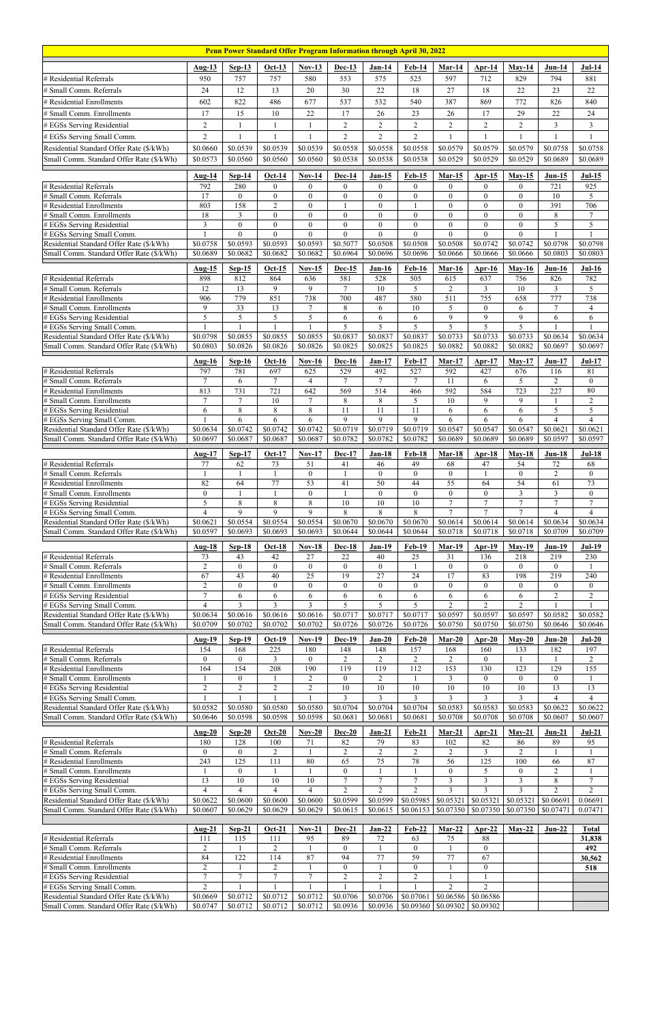| Penn Power Standard Offer Program Information through April 30, 2022                 |                                   |                                    |                                |                                   |                                 |                                  |                                    |                                   |                                    |                              |                       |                            |
|--------------------------------------------------------------------------------------|-----------------------------------|------------------------------------|--------------------------------|-----------------------------------|---------------------------------|----------------------------------|------------------------------------|-----------------------------------|------------------------------------|------------------------------|-----------------------|----------------------------|
|                                                                                      | $Aug-13$                          | $Sep-13$                           | $Oct-13$                       | <b>Nov-13</b>                     | <b>Dec-13</b>                   | $Jan-14$                         | <b>Feb-14</b>                      | Mar-14                            | $Apr-14$                           | $May-14$                     | $Jun-14$              | $Jul-14$                   |
| # Residential Referrals                                                              | 950                               | 757                                | 757                            | 580                               | 553                             | 575                              | 525                                | 597                               | 712                                | 829                          | 794                   | 881                        |
| # Small Comm. Referrals                                                              | 24                                | 12                                 | 13                             | 20                                | 30                              | 22                               | 18                                 | 27                                | 18                                 | 22                           | 23                    | 22                         |
| # Residential Enrollments                                                            | 602                               | 822                                | 486                            | 677                               | 537                             | 532                              | 540                                | 387                               | 869                                | 772                          | 826                   | 840                        |
| # Small Comm. Enrollments                                                            | 17                                | 15                                 | 10                             | 22                                | 17                              | 26                               | 23                                 | 26                                | 17                                 | 29                           | 22                    | 24                         |
| # EGSs Serving Residential                                                           | $\overline{2}$                    | 1                                  | $\mathbf{1}$                   | 1                                 | $\overline{2}$                  | $\sqrt{2}$                       | $\overline{2}$                     | $\overline{2}$                    | $\overline{2}$                     | $\overline{2}$               | 3                     | $\mathfrak{Z}$             |
| # EGSs Serving Small Comm.                                                           | $\overline{c}$                    | 1                                  | $\mathbf{1}$                   | 1                                 | $\overline{2}$                  | $\overline{2}$                   | $\overline{2}$                     |                                   | $\mathbf{1}$                       |                              | 1                     | $\mathbf{1}$               |
| Residential Standard Offer Rate (\$/kWh)                                             | \$0.0660                          | \$0.0539                           | \$0.0539                       | \$0.0539                          | \$0.0558                        | \$0.0558                         | \$0.0558                           | \$0.0579                          | \$0.0579                           | \$0.0579                     | \$0.0758              | \$0.0758                   |
| Small Comm. Standard Offer Rate (\$/kWh)                                             | \$0.0573                          | \$0.0560                           | \$0.0560                       | \$0.0560                          | \$0.0538                        | \$0.0538                         | \$0.0538                           | \$0.0529                          | \$0.0529                           | \$0.0529                     | \$0.0689              | \$0.0689                   |
|                                                                                      | <b>Aug-14</b>                     | $Sep-14$                           | $Oct-14$                       | $Nov-14$                          | Dec-14                          | $Jan-15$                         | $Feb-15$                           | <b>Mar-15</b>                     | Apr- $15$                          | $May-15$                     | $Jun-15$              | $Jul-15$                   |
| # Residential Referrals                                                              | 792                               | 280                                | $\overline{0}$                 | $\theta$                          | $\mathbf{0}$                    | $\theta$                         | $\overline{0}$                     | $\mathbf{0}$                      | $\overline{0}$                     | $\theta$                     | 721                   | 925                        |
| # Small Comm. Referrals<br># Residential Enrollments                                 | 17<br>803                         | $\mathbf{0}$<br>158                | $\mathbf{0}$<br>$\overline{2}$ | $\theta$<br>$\boldsymbol{0}$      | $\mathbf{0}$                    | $\mathbf{0}$<br>$\boldsymbol{0}$ | $\boldsymbol{0}$                   | $\mathbf{0}$<br>$\mathbf{0}$      | $\overline{0}$<br>$\boldsymbol{0}$ | $\theta$<br>$\boldsymbol{0}$ | 10<br>391             | 5<br>706                   |
| # Small Comm. Enrollments                                                            | 18                                | 3                                  | $\boldsymbol{0}$               | $\theta$                          | $\theta$                        | $\boldsymbol{0}$                 | $\theta$                           | $\theta$                          | $\boldsymbol{0}$                   | $\theta$                     | $\,$ 8 $\,$           | $\boldsymbol{7}$           |
| # EGSs Serving Residential                                                           | $\mathfrak{Z}$                    | $\overline{0}$                     | $\mathbf{0}$                   | $\theta$                          | $\theta$                        | $\mathbf{0}$                     | $\boldsymbol{0}$                   | $\theta$                          | $\boldsymbol{0}$                   | $\theta$                     | 5                     | 5                          |
| # EGSs Serving Small Comm.                                                           | \$0.0758                          | $\overline{0}$<br>\$0.0593         | $\theta$                       | $\theta$<br>\$0.0593              | $\overline{0}$                  | $\theta$<br>\$0.0508             | $\theta$<br>\$0.0508               | $\theta$                          | $\theta$<br>\$0.0742               | $\theta$<br>\$0.0742         | \$0.0798              |                            |
| Residential Standard Offer Rate (\$/kWh)<br>Small Comm. Standard Offer Rate (\$/kWh) | \$0.0689                          | \$0.0682                           | \$0.0593<br>\$0.0682           | \$0.0682                          | \$0.5077<br>\$0.6964            | \$0.0696                         | \$0.0696                           | \$0.0508<br>\$0.0666              | \$0.0666                           | \$0.0666                     | \$0.0803              | \$0.0798<br>\$0.0803       |
|                                                                                      | Aug-15                            | $Sep-15$                           | $Oct-15$                       | $Nov-15$                          | Dec-15                          | <b>Jan-16</b>                    | <b>Feb-16</b>                      | Mar-16                            | Apr- $16$                          | $May-16$                     | $Jun-16$              | $Jul-16$                   |
| # Residential Referrals                                                              | 898                               | 812                                | 864                            | 636                               | 581                             | 528                              | 505                                | 615                               | 637                                | 756                          | 826                   | 782                        |
| # Small Comm. Referrals                                                              | 12                                | 13                                 | 9                              | 9                                 | 7                               | 10                               | 5                                  | $\overline{c}$                    | 3                                  | $10\,$                       | 3                     | 5                          |
| # Residential Enrollments<br># Small Comm. Enrollments                               | 906<br>9                          | 779<br>33                          | 851<br>13                      | 738<br>$\tau$                     | 700<br>8                        | 487<br>6                         | 580<br>10                          | 511<br>5                          | 755<br>$\overline{0}$              | 658<br>6                     | 777<br>$\tau$         | 738<br>$\overline{4}$      |
| # EGSs Serving Residential                                                           | $\overline{5}$                    | $\overline{5}$                     | $\overline{5}$                 | 5                                 | 6                               | 6                                | 6                                  | 9                                 | 9                                  | 9                            | 6                     | $\overline{6}$             |
| # EGSs Serving Small Comm.                                                           |                                   |                                    |                                |                                   | 5                               | 5                                | 5                                  | 5                                 | 5                                  | 5                            |                       |                            |
| Residential Standard Offer Rate (\$/kWh)                                             | \$0.0798                          | \$0.0855                           | \$0.0855                       | \$0.0855                          | \$0.0837                        | \$0.0837                         | \$0.0837                           | \$0.0733                          | \$0.0733                           | \$0.0733                     | \$0.0634              | \$0.0634                   |
| Small Comm. Standard Offer Rate (\$/kWh)                                             | \$0.0803                          | \$0.0826                           | \$0.0826                       | \$0.0826                          | \$0.0825                        | \$0.0825                         | \$0.0825                           | \$0.0882                          | \$0.0882                           | \$0.0882                     | \$0.0697              | \$0.0697                   |
|                                                                                      | <b>Aug-16</b>                     | $Sep-16$                           | <b>Oct-16</b>                  | $Nov-16$                          | <b>Dec-16</b>                   | $Jan-17$                         | <b>Feb-17</b>                      | $Mar-17$                          | <b>Apr-17</b>                      | $May-17$                     | $Jun-17$              | $Jul-17$                   |
| # Residential Referrals<br># Small Comm. Referrals                                   | 797<br>$\overline{7}$             | 781<br>6                           | 697<br>$7\phantom{.0}$         | 625<br>$\overline{4}$             | 529<br>$\overline{7}$           | 492<br>$\overline{7}$            | $\overline{527}$<br>$\overline{7}$ | 592<br>11                         | 427<br>6                           | 676<br>5                     | 116<br>$\overline{2}$ | 81<br>$\boldsymbol{0}$     |
| # Residential Enrollments                                                            | 813                               | 731                                | 721                            | 642                               | 569                             | 514                              | 466                                | 592                               | 584                                | 723                          | 227                   | 80                         |
| # Small Comm. Enrollments                                                            | $\tau$                            | $\tau$                             | $10\,$                         | $\overline{7}$                    | 8                               | $\,$ 8 $\,$                      | 5                                  | 10                                | $\mathbf{9}$                       | 9                            | $\mathbf{1}$          | $\sqrt{2}$                 |
| # EGSs Serving Residential                                                           | 6                                 | 8                                  | 8                              | 8                                 | 11                              | 11                               | 11                                 | 6                                 | 6                                  | 6                            | 5                     | 5                          |
| # EGSs Serving Small Comm.<br>Residential Standard Offer Rate (\$/kWh)               | \$0.0634                          | 6<br>\$0.0742                      | 6<br>\$0.0742                  | 6<br>\$0.0742                     | 9<br>\$0.0719                   | 9<br>\$0.0719                    | 9<br>\$0.0719                      | 6<br>\$0.0547                     | 6<br>\$0.0547                      | 6<br>\$0.0547                | 4<br>\$0.0621         | 4<br>\$0.0621              |
| Small Comm. Standard Offer Rate (\$/kWh)                                             | \$0.0697                          | \$0.0687                           | \$0.0687                       | \$0.0687                          | \$0.0782                        | \$0.0782                         | \$0.0782                           | \$0.0689                          | \$0.0689                           | \$0.0689                     | \$0.0597              | \$0.0597                   |
|                                                                                      | <b>Aug-17</b>                     | $Sep-17$                           | $Oct-17$                       | $Nov-17$                          | <b>Dec-17</b>                   | <b>Jan-18</b>                    | <b>Feb-18</b>                      | Mar-18                            | $Apr-18$                           | $May-18$                     | $Jun-18$              | $Jul-18$                   |
| # Residential Referrals                                                              | 77                                | 62                                 | 73                             | 51                                | 41                              | 46                               | 49                                 | 68                                | 47                                 | 54                           | 72                    | 68                         |
| # Small Comm. Referrals<br># Residential Enrollments                                 | 1<br>82                           | 1<br>64                            | $\overline{1}$<br>77           | $\overline{0}$<br>$\overline{53}$ | 41                              | $\mathbf{0}$<br>50               | $\boldsymbol{0}$<br>44             | $\overline{0}$<br>$\overline{55}$ | 1<br>64                            | $\theta$<br>$\overline{54}$  | $\overline{2}$<br>61  | $\overline{0}$<br>73       |
| # Small Comm. Enrollments                                                            |                                   |                                    |                                |                                   |                                 | $\mathbf{0}$                     | $\theta$                           | $\theta$                          | $\overline{0}$                     | 3                            | 3                     | $\overline{0}$             |
|                                                                                      | $\mathbf{0}$                      |                                    |                                | $\theta$                          |                                 |                                  |                                    |                                   |                                    |                              |                       |                            |
| # EGSs Serving Residential                                                           | 5                                 | 8                                  | $\,8\,$                        | 8                                 | 10                              | 10                               | $10\,$                             | $7\phantom{.0}$                   | $\tau$                             | $\tau$                       | $\overline{7}$        | $\tau$                     |
| # EGSs Serving Small Comm.                                                           | $\overline{4}$                    | 9                                  | 9                              | 9                                 | 8                               | $\,8\,$                          | 8                                  | $\overline{7}$                    | $\overline{7}$                     | $\tau$                       | $\overline{4}$        | $\overline{4}$             |
| Residential Standard Offer Rate (\$/kWh)                                             | \$0.0621                          | \$0.0554                           | \$0.0554                       | \$0.0554                          | \$0.0670                        | \$0.0670                         | \$0.0670                           | \$0.0614                          | \$0.0614                           | \$0.0614                     | \$0.0634              | \$0.0634                   |
| Small Comm. Standard Offer Rate (\$/kWh)                                             | \$0.0597                          | \$0.0693                           | \$0.0693                       | \$0.0693                          | \$0.0644                        | \$0.0644                         | \$0.0644                           | \$0.0718                          | \$0.0718                           | \$0.0718                     | \$0.0709              | \$0.0709                   |
| # Residential Referrals                                                              | <b>Aug-18</b><br>73               | $Sep-18$<br>43                     | $Oct-18$<br>42                 | $Nov-18$<br>27                    | <b>Dec-18</b><br>22             | $Jan-19$<br>40                   | <b>Feb-19</b><br>25                | Mar-19<br>31                      | $Apr-19$<br>136                    | $Mav-19$<br>218              | <b>Jun-19</b><br>219  | $Jul-19$<br>230            |
| # Small Comm. Referrals                                                              | $\overline{2}$                    | $\overline{0}$                     | $\boldsymbol{0}$               | $\Omega$                          | $\mathbf{0}$                    | $\boldsymbol{0}$                 |                                    | $\theta$                          | $\overline{0}$                     | $\Omega$                     | $\mathbf{0}$          |                            |
| # Residential Enrollments                                                            | 67                                | 43                                 | 40                             | 25                                | 19                              | 27                               | 24                                 | 17                                | 83                                 | 198                          | 219                   | 240                        |
| # Small Comm. Enrollments                                                            | $\overline{2}$                    | $\overline{0}$                     | $\mathbf{0}$                   | $\theta$                          | $\theta$                        | $\mathbf{0}$                     | $\theta$                           | $\theta$                          | $\overline{0}$                     | $\Omega$                     | $\theta$              | $\mathbf{0}$               |
| # EGSs Serving Residential<br># EGSs Serving Small Comm.                             | $7\phantom{.0}$<br>$\overline{4}$ | 6<br>$\overline{3}$                | 6<br>$\overline{3}$            | 6<br>3                            | 6<br>5                          | 6<br>5                           | 6<br>5                             | 6<br>$\overline{2}$               | 6<br>$\overline{2}$                | 6<br>$\overline{2}$          | $\overline{2}$        | $\overline{2}$             |
| Residential Standard Offer Rate (\$/kWh)                                             | \$0.0634                          | \$0.0616                           | \$0.0616                       | \$0.0616                          | \$0.0717                        | \$0.0717                         | \$0.0717                           | \$0.0597                          | \$0.0597                           | \$0.0597                     | \$0.0582              | \$0.0582                   |
| Small Comm. Standard Offer Rate (\$/kWh)                                             | \$0.0709                          | \$0.0702                           | \$0.0702                       | \$0.0702                          | \$0.0726                        | \$0.0726                         | \$0.0726                           | \$0.0750                          | \$0.0750                           | \$0.0750                     | \$0.0646              | \$0.0646                   |
|                                                                                      | <b>Aug-19</b>                     | <b>Sep-19</b>                      | $Oct-19$                       | <b>Nov-19</b>                     | <b>Dec-19</b>                   | $Jan-20$                         | $Feb-20$                           | $Mar-20$                          | Apr-20                             | $Mav-20$                     | $Jun-20$              | $Jul-20$                   |
| # Residential Referrals                                                              | 154                               | 168                                | 225                            | 180                               | 148                             | 148                              | 157                                | 168                               | 160                                | 133                          | 182                   | 197                        |
| # Small Comm. Referrals<br># Residential Enrollments                                 | $\mathbf{0}$<br>164               | $\boldsymbol{0}$<br>154            | 3<br>208                       | $\overline{0}$<br>190             | 2<br>119                        | $\overline{2}$<br>119            | $\overline{2}$<br>112              | 2<br>153                          | $\mathbf{0}$<br>130                | 123                          | $\mathbf{1}$<br>129   | $\overline{2}$<br>155      |
| # Small Comm. Enrollments                                                            |                                   | $\overline{0}$                     |                                | $\overline{2}$                    | $\mathbf{0}$                    | $\overline{2}$                   | 1                                  | $\mathfrak{Z}$                    | $\overline{0}$                     | $\theta$                     | $\mathbf{0}$          | 1                          |
| # EGSs Serving Residential                                                           | $\overline{2}$                    | $\overline{c}$                     | $\overline{2}$                 | $\overline{2}$                    | 10                              | 10                               | $10\,$                             | 10                                | 10                                 | 10                           | 13                    | 13                         |
| # EGSs Serving Small Comm.                                                           | $\overline{1}$                    | $\mathbf{1}$                       | $\overline{1}$<br>\$0.0580     | $\mathbf{1}$                      | $\overline{3}$<br>\$0.0704      | 3                                | $\overline{3}$                     | $\mathfrak{Z}$                    | $\mathfrak{Z}$                     | 3                            | $\overline{4}$        | $\overline{4}$<br>\$0.0622 |
| Residential Standard Offer Rate (\$/kWh)<br>Small Comm. Standard Offer Rate (\$/kWh) | \$0.0582<br>\$0.0646              | \$0.0580<br>\$0.0598               | \$0.0598                       | \$0.0580<br>\$0.0598              | \$0.0681                        | \$0.0704<br>\$0.0681             | \$0.0704<br>\$0.0681               | \$0.0583<br>\$0.0708              | \$0.0583<br>\$0.0708               | \$0.0583<br>\$0.0708         | \$0.0622<br>\$0.0607  | \$0.0607                   |
|                                                                                      | <b>Aug-20</b>                     | $Sep-20$                           | $Oct-20$                       | $Nov-20$                          | $Dec-20$                        | $Jan-21$                         | <b>Feb-21</b>                      | $Mar-21$                          | $Apr-21$                           | $Mav-21$                     | $Jun-21$              | $Jul-21$                   |
| # Residential Referrals                                                              | 180                               | 128                                | 100                            | 71                                | 82                              | 79                               | 83                                 | 102                               | 82                                 | 86                           | 89                    | 95                         |
| # Small Comm. Referrals                                                              | $\mathbf{0}$                      | $\overline{0}$                     | $\overline{2}$                 | $\mathbf{1}$                      | $\overline{2}$                  | $\overline{2}$                   | $\overline{2}$                     | $\overline{2}$                    | $\overline{3}$                     | $\overline{2}$               | 1                     | $\mathbf{1}$               |
| # Residential Enrollments<br># Small Comm. Enrollments                               | 243<br>$\mathbf{1}$               | $\overline{125}$<br>$\overline{0}$ | $\overline{111}$               | 80<br>1                           | $\overline{65}$<br>$\mathbf{0}$ | 75<br>$\mathbf{1}$               | 78                                 | $\overline{56}$<br>$\mathbf{0}$   | $\overline{125}$<br>5              | 100<br>$\overline{0}$        | 66<br>$\overline{c}$  | 87<br>$\mathbf{1}$         |
| # EGSs Serving Residential                                                           | 13                                | 10                                 | $10\,$                         | 10                                | $\tau$                          | $\tau$                           | $\tau$                             | 3                                 | $\overline{\mathbf{3}}$            | 3                            | $\,$ 8 $\,$           | $\tau$                     |
| # EGSs Serving Small Comm.                                                           | $\Delta$                          | $\overline{4}$                     | $\overline{4}$                 | $\overline{4}$                    | $\overline{c}$                  | $\mathfrak{D}$                   | $\overline{2}$                     | $\mathfrak{Z}$                    | 3                                  | $\mathcal{E}$                | $\mathcal{D}$         | $\overline{c}$             |
| Residential Standard Offer Rate (\$/kWh)                                             | \$0.0622                          | \$0.0600                           | \$0.0600                       | \$0.0600                          | \$0.0599                        | \$0.0599                         |                                    | $$0.05985$ $$0.05321$             | \$0.05321                          | \$0.05321                    | \$0.06691             | 0.06691                    |
| Small Comm. Standard Offer Rate (\$/kWh)                                             | \$0.0607                          | \$0.0629                           | \$0.0629                       | \$0.0629                          | \$0.0615                        | \$0.0615                         |                                    | $$0.06153$ $$0.07350$             | \$0.07350                          | $$0.07350 \;   \; $0.07471$  |                       | 0.07471                    |
|                                                                                      | Aug-21                            | $Sep-21$                           | $Oct-21$                       | $Nov-21$                          | <b>Dec-21</b>                   | $Jan-22$                         | $Feb-22$                           | $Mar-22$                          | Apr-22                             | $May-22$                     | $Jun-22$              | <b>Total</b>               |
| # Residential Referrals                                                              | 111                               | 115                                | 111                            | 95                                | 89                              | 72                               | 63                                 | 75                                | 88                                 |                              |                       | 31,838                     |
| # Small Comm. Referrals<br># Residential Enrollments                                 | $\overline{2}$<br>84              | 122                                | 2<br>114                       | $\mathbf{1}$<br>87                | $\boldsymbol{0}$<br>94          | $77 \,$                          | $\overline{0}$<br>59               | $77 \,$                           | $\boldsymbol{0}$<br>67             |                              |                       | 492<br>30,562              |
| # Small Comm. Enrollments                                                            | $\overline{2}$                    |                                    | $\sqrt{2}$                     | 1                                 | $\boldsymbol{0}$                |                                  | $\boldsymbol{0}$                   |                                   | $\boldsymbol{0}$                   |                              |                       | 518                        |
| # EGSs Serving Residential                                                           | $\tau$                            | $\tau$                             | $\tau$                         | $\overline{7}$                    | $\overline{c}$                  | $\sqrt{2}$                       | $\overline{c}$                     |                                   | $\mathbf{1}$                       |                              |                       |                            |
| # EGSs Serving Small Comm.<br>Residential Standard Offer Rate (\$/kWh)               | $\overline{2}$<br>\$0.0669        | $\mathbf{1}$<br>\$0.0712           | \$0.0712                       | \$0.0712                          | \$0.0706                        | \$0.0706                         | 1<br>\$0.07061                     | $\overline{2}$<br>\$0.06586       | $\overline{2}$<br>\$0.06586        |                              |                       |                            |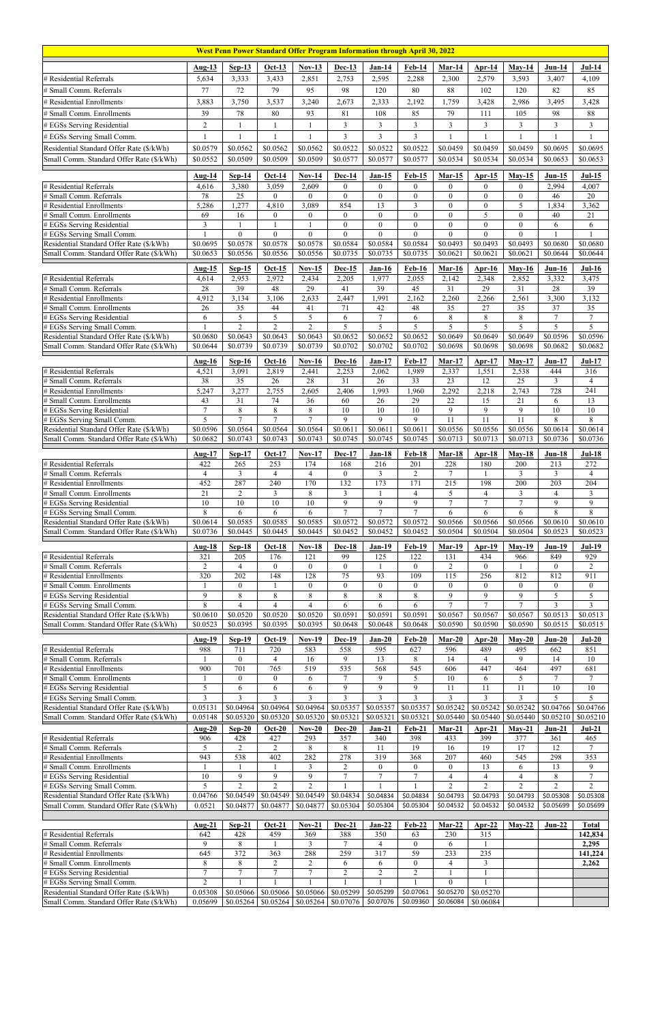| West Penn Power Standard Offer Program Information through April 30, 2022            |                          |                        |                                  |                                                  |                                    |                                  |                                      |                                  |                           |                                  |                       |                                    |
|--------------------------------------------------------------------------------------|--------------------------|------------------------|----------------------------------|--------------------------------------------------|------------------------------------|----------------------------------|--------------------------------------|----------------------------------|---------------------------|----------------------------------|-----------------------|------------------------------------|
|                                                                                      | <b>Aug-13</b>            | $Sep-13$               | $Oct-13$                         | $Nov-13$                                         | Dec-13                             | $Jan-14$                         | <b>Feb-14</b>                        | Mar-14                           | $Apr-14$                  | $May-14$                         | $Jun-14$              | $Jul-14$                           |
| # Residential Referrals                                                              | 5,634                    | 3,333                  | 3,433                            | 2,851                                            | 2,753                              | 2,595                            | 2,288                                | 2,300                            | 2,579                     | 3,593                            | 3,407                 | 4,109                              |
| # Small Comm. Referrals                                                              | 77                       | 72                     | 79                               | 95                                               | 98                                 | 120                              | 80                                   | 88                               | 102                       | 120                              | 82                    | 85                                 |
| # Residential Enrollments                                                            | 3,883                    | 3,750                  | 3,537                            | 3,240                                            | 2,673                              | 2,333                            | 2,192                                | 1,759                            | 3,428                     | 2,986                            | 3,495                 | 3,428                              |
| # Small Comm. Enrollments                                                            | 39                       | 78                     | $\bf 80$                         | 93                                               | 81                                 | 108                              | 85                                   | 79                               | 111                       | 105                              | 98                    | 88                                 |
| # EGSs Serving Residential                                                           | $\overline{2}$           | $\mathbf{1}$           | $\mathbf{1}$                     | $\mathbf{1}$                                     | $\overline{3}$                     | $\mathfrak{Z}$                   | $\overline{3}$<br>$\overline{3}$     | $\overline{3}$                   | $\overline{3}$            | $\overline{3}$                   | 3                     | $\mathfrak{Z}$<br>$\mathbf{1}$     |
| # EGSs Serving Small Comm.<br>Residential Standard Offer Rate (\$/kWh)               | $\mathbf{1}$<br>\$0.0579 | 1<br>\$0.0562          | $\mathbf{1}$<br>\$0.0562         | 1<br>\$0.0562                                    | $\mathfrak{Z}$<br>\$0.0522         | $\mathfrak{Z}$<br>\$0.0522       | \$0.0522                             | \$0.0459                         | $\mathbf{1}$<br>\$0.0459  | \$0.0459                         | \$0.0695              | \$0.0695                           |
| Small Comm. Standard Offer Rate (\$/kWh)                                             | \$0.0552                 | \$0.0509               | \$0.0509                         | \$0.0509                                         | \$0.0577                           | \$0.0577                         | \$0.0577                             | \$0.0534                         | \$0.0534                  | \$0.0534                         | \$0.0653              | \$0.0653                           |
|                                                                                      |                          |                        |                                  |                                                  |                                    |                                  |                                      |                                  |                           |                                  |                       |                                    |
| # Residential Referrals                                                              | <b>Aug-14</b><br>4,616   | $Sep-14$<br>3,380      | <b>Oct-14</b><br>3,059           | $Nov-14$<br>2,609                                | <b>Dec-14</b><br>$\mathbf{0}$      | $Jan-15$<br>$\mathbf{0}$         | <b>Feb-15</b><br>$\overline{0}$      | $Mar-15$<br>$\overline{0}$       | $Ar-15$<br>$\overline{0}$ | $Mav-15$<br>$\mathbf{0}$         | $Jun-15$<br>2,994     | $Jul-15$<br>4,007                  |
| # Small Comm. Referrals                                                              | 78                       | 25                     | $\overline{0}$                   | $\theta$                                         | $\theta$                           | $\boldsymbol{0}$                 | $\boldsymbol{0}$                     | $\mathbf{0}$                     | $\overline{0}$            | $\boldsymbol{0}$                 | 46                    | 20                                 |
| # Residential Enrollments                                                            | 5,286                    | 1,277                  | 4,810                            | 3,089                                            | 854                                | $\overline{13}$                  | $\overline{3}$                       | $\mathbf{0}$                     | $\boldsymbol{0}$          | 5                                | 1,834                 | 3,362                              |
| # Small Comm. Enrollments<br># EGSs Serving Residential                              | 69<br>$\mathfrak{Z}$     | 16<br>1                | $\boldsymbol{0}$<br>$\mathbf{1}$ | $\overline{0}$<br>$\mathbf{1}$                   | $\overline{0}$<br>$\boldsymbol{0}$ | $\mathbf{0}$<br>$\boldsymbol{0}$ | $\boldsymbol{0}$<br>$\boldsymbol{0}$ | $\overline{0}$<br>$\overline{0}$ | 5<br>$\boldsymbol{0}$     | $\overline{0}$<br>$\overline{0}$ | 40<br>6               | 21<br>6                            |
| # EGSs Serving Small Comm.                                                           |                          | $\boldsymbol{0}$       | $\theta$                         | $\theta$                                         | $\theta$                           | $\theta$                         | $\theta$                             | $\theta$                         | $\theta$                  | $\overline{0}$                   |                       |                                    |
| Residential Standard Offer Rate (\$/kWh)                                             | \$0.0695                 | \$0.0578               | \$0.0578                         | \$0.0578                                         | \$0.0584                           | \$0.0584                         | \$0.0584                             | \$0.0493                         | \$0.0493                  | \$0.0493                         | \$0.0680              | \$0.0680                           |
| Small Comm. Standard Offer Rate (\$/kWh)                                             | \$0.0653                 | \$0.0556               | \$0.0556                         | \$0.0556                                         | \$0.0735                           | \$0.0735                         | \$0.0735                             | \$0.0621                         | \$0.0621                  | \$0.0621                         | \$0.0644              | \$0.0644                           |
|                                                                                      | Aug-15                   | $Sep-15$               | $Oct-15$                         | $Nov-15$                                         | <b>Dec-15</b>                      | <b>Jan-16</b>                    | <b>Feb-16</b>                        | $Mar-16$                         | $Ar-16$                   | $May-16$                         | $Jun-16$              | $Jul-16$                           |
| # Residental Ref.<br># Small Comm. Referrals                                         | 4,614<br>28              | 2,953<br>39            | 2,972<br>48                      | 2,434<br>29                                      | 2,205<br>41                        | 1,977<br>39                      | 2,055<br>45                          | 2,142<br>31                      | 2,348<br>29               | 2,852<br>31                      | 3,332<br>$28\,$       | 3,475<br>39                        |
| # Residential Enrollments                                                            | 4,912                    | 3,134                  | 3,106                            | 2,633                                            | 2,447                              | 1,991                            | 2,162                                | 2,260                            | 2,266                     | 2,561                            | 3,300                 | 3,132                              |
| # Small Comm. Enrollments                                                            | 26                       | 35                     | 44                               | 41                                               | 71                                 | 42                               | 48                                   | 35                               | 27                        | 35                               | 37                    | 35                                 |
| # EGSs Serving Residential<br># EGSs Serving Small Comm.                             | 6                        | 5<br>$\overline{2}$    | 5<br>$\overline{2}$              | 5<br>$\overline{2}$                              | 6<br>5                             | $7\phantom{.0}$<br>5             | 6<br>5                               | 8<br>5                           | $8\,$<br>$\overline{5}$   | $\,8\,$<br>5                     | $\overline{7}$<br>5   | $\overline{7}$<br>$\overline{5}$   |
| Residential Standard Offer Rate (\$/kWh)                                             | \$0.0680                 | \$0.0643               | \$0.0643                         | \$0.0643                                         | \$0.0652                           | \$0.0652                         | \$0.0652                             | \$0.0649                         | \$0.0649                  | \$0.0649                         | \$0.0596              | \$0.0596                           |
| Small Comm. Standard Offer Rate (\$/kWh)                                             | \$0.0644                 | \$0.0739               | \$0.0739                         | \$0.0739                                         | \$0.0702                           | \$0.0702                         | \$0.0702                             | \$0.0698                         | \$0.0698                  | \$0.0698                         | \$0.0682              | \$0.0682                           |
|                                                                                      | <b>Aug-16</b>            | $Sep-16$               | $Oct-16$                         | $Nov-16$                                         | <b>Dec-16</b>                      | <b>Jan-17</b>                    | <b>Feb-17</b>                        | $Mar-17$                         | $Arr-17$                  | $May-17$                         | $Jun-17$              | <b>Jul-17</b>                      |
| # Residential Referrals                                                              | 4,521                    | 3,091                  | 2,819                            | 2,441                                            | 2,253                              | 2,062                            | 1,989                                | 2,337                            | 1,551                     | 2,538                            | 444                   | 316                                |
| # Small Comm. Referrals<br># Residential Enrollments                                 | 38<br>5,247              | 35<br>3,277            | 26<br>2,755                      | 28<br>2,605                                      | 31<br>2,406                        | 26<br>1,993                      | 33<br>1,960                          | 23<br>2,292                      | 12<br>2,218               | 25<br>2,743                      | 3<br>728              | $\overline{4}$<br>$\overline{241}$ |
| # Small Comm. Enrollments                                                            | 43                       | 31                     | $74\,$                           | 36                                               | 60                                 | 26                               | $\overline{29}$                      | 22                               | 15                        | $\overline{21}$                  | 6                     | 13                                 |
| # EGSs Serving Residential                                                           | $7\phantom{.0}$          | 8                      | 8                                | $\,8\,$                                          | $10\,$                             | 10                               | 10                                   | 9                                | 9                         | 9                                | 10                    | 10                                 |
| # EGSs Serving Small Comm.<br>Residential Standard Offer Rate (\$/kWh)               | 5<br>\$0.0596            | 7<br>\$0.0564          | 7<br>\$0.0564                    | 7<br>\$0.0564                                    | 9<br>\$0.0611                      | 9<br>\$0.0611                    | 9<br>\$0.0611                        | 11<br>\$0.0556                   | 11<br>\$0.0556            | 11<br>\$0.0556                   | 8<br>\$0.0614         | 8<br>\$0.0614                      |
| Small Comm. Standard Offer Rate (\$/kWh)                                             | \$0.0682                 | \$0.0743               | \$0.0743                         | \$0.0743                                         | \$0.0745                           | \$0.0745                         | \$0.0745                             | \$0.0713                         | \$0.0713                  | \$0.0713                         | \$0.0736              | \$0.0736                           |
|                                                                                      | Aug-17                   | $Sep-17$               | $Oct-17$                         | <b>Nov-17</b>                                    | <b>Dec-17</b>                      | <b>Jan-18</b>                    | <b>Feb-18</b>                        | $Mar-18$                         | $Ar-18$                   | $May-18$                         | $Jun-18$              | <b>Jul-18</b>                      |
| # Residential Referrals                                                              | 422                      | 265                    | 253                              | 174                                              | 168                                | 216                              | 201                                  | 228                              | 180                       | 200                              | 213                   | 272                                |
| # Small Comm. Referrals                                                              | $\overline{4}$           | 3                      | $\overline{4}$                   | $\overline{4}$                                   | $\mathbf{0}$                       | 3                                | 2                                    | $7\phantom{.0}$                  | 1                         | 3                                | 3                     | $\overline{4}$                     |
| # Residential Enrollments<br># Small Comm. Enrollments                               | 452<br>21                | 287<br>$\overline{2}$  | 240<br>$\mathfrak{Z}$            | 170<br>8                                         | 132<br>$\mathfrak{Z}$              | 173<br>-1                        | 171<br>$\overline{4}$                | 215<br>5                         | 198<br>4                  | 200<br>3                         | 203<br>$\overline{4}$ | 204<br>$\mathbf{3}$                |
| # EGSs Serving Residential                                                           | 10                       | $10\,$                 | $10\,$                           | 10                                               | 9                                  | 9                                | 9                                    | $\tau$                           | $\tau$                    | $\tau$                           | 9                     | $\overline{9}$                     |
| # EGSs Serving Small Comm.                                                           | 8                        | 6                      | 6                                | 6                                                | $\tau$                             | $\overline{7}$                   | $\tau$                               | 6                                | 6                         | 6                                | 8                     | $\overline{8}$                     |
| Residential Standard Offer Rate (\$/kWh)<br>Small Comm. Standard Offer Rate (\$/kWh) | \$0.0614<br>\$0.0736     | \$0.0585<br>\$0.0445   | \$0.0585<br>\$0.0445             | \$0.0585<br>\$0.0445                             | \$0.0572<br>\$0.0452               | \$0.0572<br>\$0.0452             | \$0.0572<br>\$0.0452                 | \$0.0566<br>\$0.0504             | \$0.0566<br>\$0.0504      | \$0.0566<br>\$0.0504             | \$0.0610<br>\$0.0523  | \$0.0610<br>\$0.0523               |
|                                                                                      |                          |                        | <b>Oct-18</b>                    | $Nov-18$                                         | <b>Dec-18</b>                      |                                  | <b>Feb-19</b>                        | <b>Mar-19</b>                    |                           |                                  | <b>Jun-19</b>         |                                    |
| # Residential Referrals                                                              | <b>Aug-18</b><br>321     | $Sep-18$<br>205        | 176                              | 121                                              | 99                                 | <b>Jan-19</b><br>125             | 122                                  | 131                              | $Apr-19$<br>434           | $May-19$<br>966                  | 849                   | <b>Jul-19</b><br>929               |
| # Small Comm. Referrals                                                              | 2                        | $\overline{4}$         | $\overline{0}$                   | $\theta$                                         | $\mathbf{0}$                       |                                  | $\theta$                             | 2                                | $\overline{0}$            |                                  | $\mathbf{0}$          | $\overline{2}$                     |
| # Residential Enrollments                                                            | 320<br>$\overline{1}$    | 202                    | 148                              | 128<br>$\Omega$                                  | 75<br>$\theta$                     | 93                               | 109<br>$\Omega$                      | 115                              | 256                       | 812                              | 812                   | 911                                |
| # Small Comm. Enrollments<br># EGSs Serving Residential                              | 9                        | $\boldsymbol{0}$<br>8  | $\,8\,$                          | 8                                                | 8                                  | $\boldsymbol{0}$<br>8            | 8                                    | $\theta$<br>9                    | $\overline{0}$<br>9       | $\theta$<br>9                    | $\mathbf{0}$<br>5     | $\boldsymbol{0}$<br>$\overline{5}$ |
| # EGSs Serving Small Comm.                                                           | $\overline{8}$           | $\overline{4}$         | $\overline{4}$                   | $\overline{\mathbf{4}}$                          | 6                                  | 6                                | 6                                    | $\overline{7}$                   | $\overline{7}$            | $\overline{7}$                   | $\overline{3}$        | $\overline{3}$                     |
| Residential Standard Offer Rate (\$/kWh)                                             | \$0.0610                 | \$0.0520               | \$0.0520                         | \$0.0520                                         | \$0.0591                           | \$0.0591                         | \$0.0591                             | \$0.0567                         | \$0.0567                  | \$0.0567                         | \$0.0513              | \$0.0513                           |
| Small Comm. Standard Offer Rate (\$/kWh)                                             | \$0.0523                 | \$0.0395               | \$0.0395                         | \$0.0395                                         | \$0.0648                           | \$0.0648                         | \$0.0648                             | \$0.0590                         | \$0.0590                  | \$0.0590                         | \$0.0515              | \$0.0515                           |
| # Residential Referrals                                                              | <b>Aug-19</b><br>988     | $Sep-19$<br>711        | $Oct-19$<br>720                  | $Nov-19$<br>583                                  | <b>Dec-19</b><br>558               | $Jan-20$<br>595                  | $Feb-20$<br>627                      | $Mar-20$<br>596                  | $Ar-20$<br>489            | $May-20$<br>495                  | $Jun-20$<br>662       | $Jul-20$<br>851                    |
| # Small Comm. Referrals                                                              | $\overline{1}$           | $\boldsymbol{0}$       | $\overline{4}$                   | 16                                               | 9                                  | 13                               | 8                                    | 14                               | $\overline{4}$            | 9                                | 14                    | 10                                 |
| # Residential Enrollments                                                            | 900                      | 701                    | 765                              | 519                                              | 535                                | 568                              | 545                                  | 606                              | 447                       | 464                              | 497                   | 681                                |
| # Small Comm. Enrollments<br># EGSs Serving Residential                              | $\mathbf{1}$<br>5        | $\boldsymbol{0}$<br>6  | $\mathbf{0}$<br>6                | 6<br>6                                           | $\tau$<br>9                        | 9<br>9                           | 5<br>9                               | 10<br>11                         | 6<br>11                   | 5<br>11                          | $7\phantom{.0}$<br>10 | $\tau$<br>10                       |
| # EGSs Serving Small Comm.                                                           | $\overline{3}$           | $\overline{3}$         | $\overline{3}$                   | 3                                                | $\overline{3}$                     | $\mathfrak{Z}$                   | $\overline{3}$                       | $\overline{3}$                   | $\overline{3}$            | $\overline{3}$                   | 5                     | 5                                  |
| Residential Standard Offer Rate (\$/kWh)                                             | 0.05131                  | \$0.04964              | \$0.04964                        | \$0.04964                                        | \$0.05357                          | \$0.05357                        | \$0.05357                            | \$0.05242                        | \$0.05242                 | \$0.05242                        | \$0.04766             | \$0.04766                          |
| Small Comm. Standard Offer Rate (\$/kWh)                                             | 0.05148                  | \$0.05320              | \$0.05320                        | \$0.05320                                        | \$0.05321                          | $\overline{$}0.05321$            | \$0.05321                            | \$0.05440                        | \$0.05440                 | \$0.05440                        | \$0.05210             | \$0.05210                          |
| # Residential Referrals                                                              | Aug- $20$<br>906         | $Sep-20$<br>428        | <b>Oct-20</b><br>427             | $Nov-20$<br>293                                  | Dec-20<br>357                      | $Jan-21$<br>340                  | <b>Feb-21</b><br>398                 | $Mar-21$<br>433                  | Apr-21<br>399             | $May-21$<br>377                  | $Jun-21$<br>361       | $Jul-21$<br>465                    |
| # Small Comm. Referrals                                                              | 5                        | $\overline{2}$         | $\overline{2}$                   | 8                                                | 8                                  | 11                               | 19                                   | 16                               | 19                        | $\overline{17}$                  | 12                    | $\tau$                             |
| # Residential Enrollments                                                            | 943                      | 538                    | 402                              | 282                                              | 278                                | 319                              | 368                                  | 207                              | 460                       | 545                              | 298                   | 353                                |
| # Small Comm. Enrollments<br># EGSs Serving Residential                              | $\overline{1}$<br>10     | 1<br>9                 | $\mathbf{1}$<br>9                | 3<br>9                                           | $\overline{2}$<br>$\tau$           | $\boldsymbol{0}$<br>$\tau$       | $\overline{0}$<br>$\overline{7}$     | $\overline{0}$<br>4              | 13<br>4                   | 6<br>4                           | 13<br>$\,$ $\,$       | 9<br>$\overline{7}$                |
| # EGSs Serving Small Comm.                                                           | 5                        | $\overline{2}$         | $\overline{2}$                   | $\overline{2}$                                   |                                    |                                  |                                      | $\overline{2}$                   | $\overline{2}$            | $\overline{2}$                   | $\overline{2}$        | $\overline{2}$                     |
| Residential Standard Offer Rate (\$/kWh)                                             | 0.04766                  | \$0.04549              |                                  | $\left  0.04549 \right  0.04549 \right  0.04834$ |                                    | \$0.04834                        | \$0.04834                            | \$0.04793                        | \$0.04793                 | \$0.04793                        | \$0.05308             | \$0.05308                          |
| Small Comm. Standard Offer Rate (\$/kWh)                                             | 0.0521                   | \$0.04877              | \$0.04877                        | \$0.04877                                        | \$0.05304                          | \$0.05304                        | \$0.05304                            | \$0.04532                        | \$0.04532                 | \$0.04532                        | \$0.05699             | \$0.05699                          |
|                                                                                      | <b>Aug-21</b>            | $Sep-21$               | $Oct-21$                         | $Nov-21$                                         | <b>Dec-21</b>                      | $Jan-22$                         | <b>Feb-22</b>                        | $Mar-22$                         | $Apr-22$                  | $May-22$                         | $Jun-22$              | <b>Total</b>                       |
| # Residential Referrals                                                              | 642                      | 428                    | 459                              | 369                                              | 388                                | 350                              | 63                                   | 230                              | 315                       |                                  |                       | 142,834                            |
| # Small Comm. Referrals<br># Residential Enrollments                                 | 9<br>645                 | 8<br>372               | 363                              | $\mathfrak{Z}$<br>288                            | 7<br>259                           | 4<br>317                         | $\boldsymbol{0}$<br>59               | 6<br>233                         | 235                       |                                  |                       | 2,295<br>141,224                   |
| # Small Comm. Enrollments                                                            | $\,8\,$                  | 8                      | $\sqrt{2}$                       | 2                                                | 6                                  | 6                                | $\boldsymbol{0}$                     | 4                                | $\mathfrak{Z}$            |                                  |                       | 2,262                              |
| # EGSs Serving Residential                                                           | 7                        | $\tau$                 | $\overline{7}$                   | 7                                                | 2                                  | $\mathbf{2}$                     | $\overline{c}$                       |                                  |                           |                                  |                       |                                    |
| # EGSs Serving Small Comm.                                                           | $\overline{2}$           |                        |                                  |                                                  |                                    |                                  |                                      | 0                                |                           |                                  |                       |                                    |
| Residential Standard Offer Rate (\$/kWh)<br>Small Comm. Standard Offer Rate (\$/kWh) | 0.05308<br>0.05699       | \$0.05066<br>\$0.05264 | \$0.05066                        | \$0.05066<br>$$0.05264$ $$0.05264$               | \$0.05299<br>\$0.07076             | \$0.05299<br>\$0.07076           | \$0.07061<br>\$0.09360               | \$0.05270<br>\$0.06084           | \$0.05270<br>\$0.06084    |                                  |                       |                                    |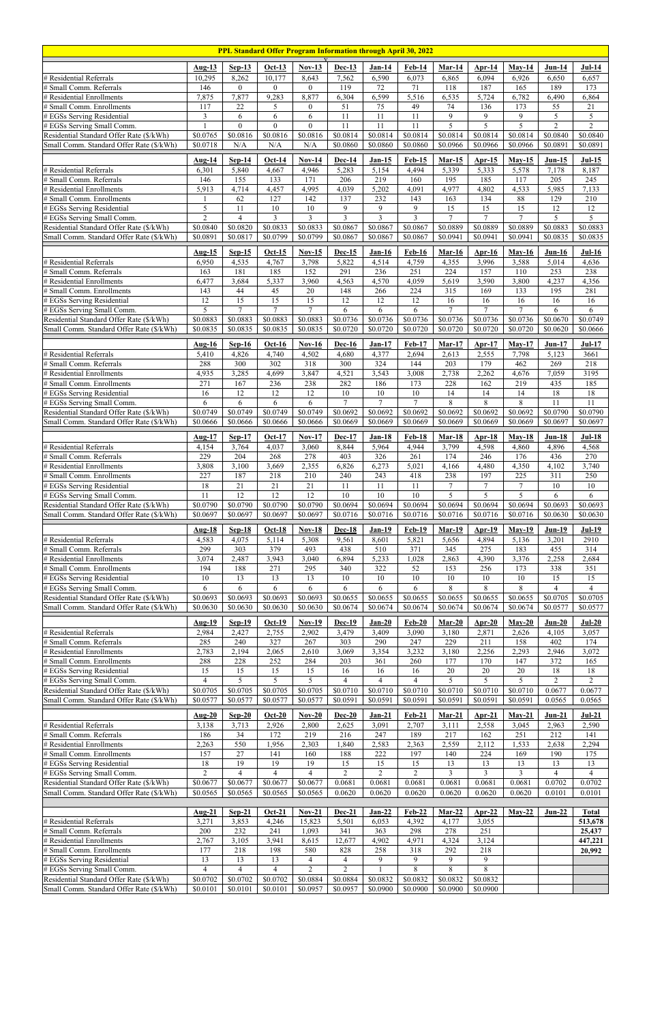| PPL Standard Offer Program Information through April 30, 2022                        |                            |                           |                            |                                  |                            |                            |                            |                           |                        |                           |                           |                          |
|--------------------------------------------------------------------------------------|----------------------------|---------------------------|----------------------------|----------------------------------|----------------------------|----------------------------|----------------------------|---------------------------|------------------------|---------------------------|---------------------------|--------------------------|
|                                                                                      | Aug- $13$                  | $Sep-13$                  | $Oct-13$                   | <b>Nov-13</b>                    | Dec-13                     | $Jan-14$                   | <b>Feb-14</b>              | <b>Mar-14</b>             | $Apr-14$               | $May-14$                  | $Jun-14$                  | <b>Jul-14</b>            |
| # Residential Referrals                                                              | 10,295                     | 8,262                     | 10,177                     | 8,643                            | 7,562                      | 6,590                      | 6,073                      | 6,865                     | 6,094                  | 6,926                     | 6,650                     | 6,657                    |
| # Small Comm. Referrals                                                              | 146                        | $\overline{0}$            | $\overline{0}$             | $\overline{0}$                   | 119                        | 72                         | 71                         | 118                       | 187                    | 165                       | 189                       | 173                      |
| # Residential Enrollments                                                            | 7,875                      | 7,877                     | 9,283                      | 8,877                            | 6,304                      | 6,599                      | 5,516                      | 6,535                     | 5,724                  | 6,782                     | 6,490                     | 6,864                    |
| # Small Comm. Enrollments<br># EGSs Serving Residential                              | 117<br>$\mathfrak{Z}$      | 22<br>6                   | 5<br>6                     | $\overline{0}$<br>6              | $\overline{51}$<br>11      | 75<br>11                   | 49<br>11                   | 74<br>9                   | 136<br>9               | 173<br>9                  | $\overline{55}$<br>5      | $\overline{21}$<br>5     |
| # EGSs Serving Small Comm.                                                           |                            | $\theta$                  | $\theta$                   | $\theta$                         | 11                         | 11                         | $\overline{11}$            | 5                         | $\overline{5}$         | $\overline{5}$            | $\overline{2}$            | $\overline{2}$           |
| Residential Standard Offer Rate (\$/kWh)                                             | \$0.0765                   | \$0.0816                  | \$0.0816                   | \$0.0816                         | \$0.0814                   | \$0.0814                   | \$0.0814                   | \$0.0814                  | \$0.0814               | \$0.0814                  | \$0.0840                  | \$0.0840                 |
| Small Comm. Standard Offer Rate (\$/kWh)                                             | \$0.0718                   | N/A                       | N/A                        | N/A                              | \$0.0860                   | \$0.0860                   | \$0.0860                   | \$0.0966                  | \$0.0966               | \$0.0966                  | \$0.0891                  | \$0.0891                 |
|                                                                                      | <b>Aug-14</b>              | $Sep-14$                  | $Oct-14$                   | $Nov-14$                         | <b>Dec-14</b>              | $Jan-15$                   | $Feb-15$                   | <b>Mar-15</b>             | <u>Apr-15</u>          | $May-15$                  | $Jun-15$                  | $Jul-15$                 |
| # Residential Referrals<br># Small Comm. Referrals                                   | 6,301<br>146               | 5,840<br>155              | 4,667<br>133               | 4,946<br>171                     | 5,283<br>206               | 5,154<br>219               | 4,494<br>160               | 5,339<br>195              | 5,333<br>185           | 5,578<br>117              | 7,178<br>$\overline{205}$ | 8,187<br>245             |
| # Residential Enrollments                                                            | 5,913                      | 4,714                     | 4,457                      | 4,995                            | 4,039                      | 5,202                      | 4,091                      | 4,977                     | 4,802                  | 4,533                     | 5,985                     | 7,133                    |
| # Small Comm. Enrollments                                                            |                            | 62                        | 127                        | 142                              | 137                        | 232                        | 143                        | 163                       | 134                    | 88                        | 129                       | 210                      |
| # EGSs Serving Residential                                                           | 5                          | 11                        | $10\,$                     | 10                               | 9                          | 9                          | 9<br>$\overline{3}$        | 15<br>$\tau$              | 15<br>$\overline{7}$   | $\overline{15}$<br>$\tau$ | 12                        | 12<br>5                  |
| # EGSs Serving Small Comm.<br>Residential Standard Offer Rate (\$/kWh)               | $\overline{2}$<br>\$0.0840 | 4<br>\$0.0820             | $\mathfrak{Z}$<br>\$0.0833 | $\overline{3}$<br>\$0.0833       | $\overline{3}$<br>\$0.0867 | $\overline{3}$<br>\$0.0867 | \$0.0867                   | \$0.0889                  | \$0.0889               | \$0.0889                  | 5<br>\$0.0883             | \$0.0883                 |
| Small Comm. Standard Offer Rate (\$/kWh)                                             | \$0.0891                   | \$0.0817                  | \$0.0799                   | \$0.0799                         | $\overline{$}0.0867$       | \$0.0867                   | \$0.0867                   | \$0.0941                  | \$0.0941               | \$0.0941                  | \$0.0835                  | \$0.0835                 |
|                                                                                      | <b>Aug-15</b>              | $Sep-15$                  | $Oct-15$                   | $Nov-15$                         | $Dec-15$                   | <b>Jan-16</b>              | <b>Feb-16</b>              | Mar-16                    | Apr- $16$              | $Mav-16$                  | $Jun-16$                  | $Jul-16$                 |
| # Residential Referrals                                                              | 6,950                      | 4,535                     | 4,767                      | 3,798                            | 5,822                      | 4,514                      | 4,759                      | 4,355                     | 3,996                  | 3,588                     | 5,014                     | 4,636                    |
| # Small Comm. Referrals                                                              | 163                        | 181                       | 185                        | 152                              | 291                        | 236                        | 251                        | 224                       | 157                    | 110                       | 253                       | 238                      |
| # Residential Enrollments<br># Small Comm. Enrollments                               | 6,477<br>143               | 3,684<br>44               | 5,337<br>45                | 3,960<br>20                      | 4,563<br>148               | 4,570<br>266               | 4,059<br>224               | 5,619<br>$\overline{315}$ | 3,590<br>169           | 3,800<br>133              | 4,237<br>195              | 4,356<br>281             |
| # EGSs Serving Residential                                                           | 12                         | 15                        | 15                         | 15                               | 12                         | 12                         | 12                         | 16                        | 16                     | 16                        | 16                        | 16                       |
| # EGSs Serving Small Comm.                                                           | 5                          | $\tau$                    | $\tau$                     | $\tau$                           | 6                          | 6                          | 6                          | $\tau$                    | $\overline{7}$         | $\tau$                    | 6                         | 6                        |
| Residential Standard Offer Rate (\$/kWh)                                             | \$0.0883<br>\$0.0835       | \$0.0883<br>\$0.0835      | \$0.0883<br>\$0.0835       | \$0.0883                         | \$0.0736<br>\$0.0720       | \$0.0736<br>\$0.0720       | \$0.0736<br>\$0.0720       | \$0.0736<br>\$0.0720      | \$0.0736<br>\$0.0720   | \$0.0736<br>\$0.0720      | \$0.0670<br>\$0.0620      | \$0.0749<br>\$0.0666     |
| Small Comm. Standard Offer Rate (\$/kWh)                                             |                            |                           |                            | \$0.0835                         |                            |                            |                            |                           |                        |                           |                           |                          |
|                                                                                      | Aug- $16$                  | $Sep-16$                  | $Oct-16$                   | $Nov-16$                         | <b>Dec-16</b>              | $Jan-17$                   | <b>Feb-17</b>              | $Mar-17$                  | Apr- $17$              | $May-17$                  | $Jun-17$                  | $Jul-17$                 |
| # Residential Referrals<br># Small Comm. Referrals                                   | 5,410<br>288               | 4,826<br>$\overline{300}$ | 4,740<br>$\overline{302}$  | 4,502<br>$\overline{318}$        | 4,680<br>300               | 4,377<br>324               | 2,694<br>144               | 2,613<br>203              | 2,555<br>179           | 7,798<br>462              | 5,123<br>269              | 3661<br>218              |
| # Residential Enrollments                                                            | 4,935                      | 3,285                     | 4,699                      | 3,847                            | 4,521                      | 3,543                      | 3,008                      | 2,738                     | 2,262                  | 4,676                     | 7,059                     | 3195                     |
| # Small Comm. Enrollments                                                            | 271                        | 167                       | 236                        | 238                              | 282                        | 186                        | 173                        | 228                       | 162                    | 219                       | 435                       | 185                      |
| # EGSs Serving Residential<br># EGSs Serving Small Comm.                             | 16<br>6                    | 12<br>6                   | 12<br>6                    | 12<br>6                          | 10<br>$\overline{7}$       | $10\,$<br>$\overline{7}$   | $10\,$<br>$\overline{7}$   | 14<br>$\,8\,$             | 14<br>8                | 14<br>8                   | 18<br>11                  | $18\,$<br>11             |
| Residential Standard Offer Rate (\$/kWh)                                             | \$0.0749                   | \$0.0749                  | \$0.0749                   | \$0.0749                         | \$0.0692                   | \$0.0692                   | \$0.0692                   | \$0.0692                  | \$0.0692               | \$0.0692                  | \$0.0790                  | \$0.0790                 |
| Small Comm. Standard Offer Rate (\$/kWh)                                             | \$0.0666                   | \$0.0666                  | \$0.0666                   | \$0.0666                         | \$0.0669                   | \$0.0669                   | \$0.0669                   | \$0.0669                  | \$0.0669               | \$0.0669                  | \$0.0697                  | \$0.0697                 |
|                                                                                      | Aug-17                     | $Sep-17$                  | $Oct-17$                   | $Nov-17$                         | <b>Dec-17</b>              | $Jan-18$                   | Feb-18                     | $Mar-18$                  | Apr-18                 | $May-18$                  | $Jun-18$                  | <b>Jul-18</b>            |
| # Residential Referrals                                                              | 4,154                      | 3,764                     | 4,037                      | 3,060                            | 8,844                      | 5,964                      | 4,944                      | 3,799                     | 4,598                  | 4,860                     | 4,896                     | 4,568                    |
| # Small Comm. Referrals                                                              | 229                        | 204                       | 268                        | 278                              | 403                        | 326                        | 261                        | 174                       | 246                    | 176                       | 436                       | 270                      |
| # Residential Enrollments<br># Small Comm. Enrollments                               | 3,808<br>227               | 3,100<br>187              | 3,669<br>218               | 2,355<br>210                     | 6,826<br>240               | 6,273<br>243               | 5,021<br>418               | 4,166<br>238              | 4,480<br>197           | 4,350<br>225              | 4,102<br>311              | 3,740<br>250             |
| # EGSs Serving Residential                                                           | 18                         | 21                        | 21                         | $21\,$                           | 11                         | 11                         | 11                         | $\overline{7}$            | $\tau$                 | $\tau$                    | $10\,$                    | $10\,$                   |
| # EGSs Serving Small Comm.                                                           | 11                         | $\overline{12}$           | $\overline{12}$            | $\overline{12}$                  | 10                         | 10                         | $\overline{10}$            | $\overline{5}$            | 5                      | 5                         | 6                         | 6                        |
| Residential Standard Offer Rate (\$/kWh)<br>Small Comm. Standard Offer Rate (\$/kWh) | \$0.0790<br>\$0.0697       | \$0.0790<br>\$0.0697      | \$0.0790<br>\$0.0697       | \$0.0790<br>\$0.0697             | \$0.0694<br>\$0.0716       | \$0.0694<br>\$0.0716       | \$0.0694<br>\$0.0716       | \$0.0694<br>\$0.0716      | \$0.0694<br>\$0.0716   | \$0.0694<br>\$0.0716      | \$0.0693<br>\$0.0630      | \$0.0693<br>\$0.0630     |
|                                                                                      |                            |                           |                            |                                  |                            |                            |                            |                           |                        |                           |                           |                          |
| # Residential Referrals                                                              | <b>Aug-18</b><br>4,583     | $Sep-18$<br>4,075         | $Oct-18$<br>5,114          | $Nov-18$<br>5,308                | <b>Dec-18</b><br>9,561     | <b>Jan-19</b><br>8,601     | <b>Feb-19</b><br>5,821     | <b>Mar-19</b><br>5,656    | <u>Apr-19</u><br>4,894 | $May-19$<br>5,136         | <b>Jun-19</b><br>3,201    | <b>Jul-19</b><br>2910    |
| # Small Comm. Referrals                                                              | 299                        | 303                       | 379                        | 493                              | 438                        | 510                        | 371                        | 345                       | 275                    | 183                       | 455                       | 314                      |
| # Residential Enrollments                                                            | 3,074                      | 2,487                     | 3,943                      | 3,040                            | 6,894                      | 5,233                      | 1,028                      | 2,863                     | 4,390                  | 3,376                     | 2,258                     | 2,684                    |
| # Small Comm. Enrollments<br># EGSs Serving Residential                              | 194<br>$10\,$              | 188<br>13                 | 271<br>13                  | 295<br>13                        | 340<br>$10\,$              | 322<br>$10\,$              | 52<br>$10\,$               | 153<br>$10\,$             | 256<br>$10\,$          | 173<br>$10\,$             | 338<br>15                 | 351<br>15                |
| # EGSs Serving Small Comm.                                                           | 6                          | 6                         | 6                          | 6                                | 6                          | 6                          | 6                          | $\overline{8}$            | $\overline{8}$         | $\overline{8}$            | $\overline{4}$            | $\overline{4}$           |
| Residential Standard Offer Rate (\$/kWh)                                             | \$0.0693                   | \$0.0693                  | \$0.0693                   | \$0.0693                         | \$0.0655                   | \$0.0655                   | \$0.0655                   | \$0.0655                  | \$0.0655               | \$0.0655                  | \$0.0705                  | \$0.0705                 |
| Small Comm. Standard Offer Rate (\$/kWh)                                             | \$0.0630                   | \$0.0630                  | \$0.0630                   | \$0.0630                         | \$0.0674                   | \$0.0674                   | \$0.0674                   | \$0.0674                  | \$0.0674               | \$0.0674                  | \$0.0577                  | \$0.0577                 |
|                                                                                      | <b>Aug-19</b>              | $Sep-19$                  | $Oct-19$                   | $Nov-19$                         | <b>Dec-19</b>              | $Jan-20$                   | $Feb-20$                   | $Mar-20$                  | $Arr-20$               | $May-20$                  | $Jun-20$                  | $Jul-20$                 |
| # Residential Referrals                                                              | 2,984                      | 2,427                     | 2,755                      | 2,902                            | 3,479                      | 3,409                      | 3,090                      | 3,180                     | 2,871                  | 2,626                     | 4,105<br>402              | 3,057                    |
| # Small Comm. Referrals<br># Residential Enrollments                                 | 285<br>2,783               | 240<br>2,194              | 327<br>2,065               | 267<br>2,610                     | 303<br>3,069               | 290<br>3,354               | 247<br>3,232               | 229<br>3,180              | 211<br>2,256           | 158<br>2,293              | 2,946                     | 174<br>3,072             |
| # Small Comm. Enrollments                                                            | 288                        | 228                       | 252                        | 284                              | 203                        | 361                        | 260                        | 177                       | 170                    | 147                       | 372                       | 165                      |
| # EGSs Serving Residential                                                           | 15                         | 15                        | $\overline{15}$            | $\overline{15}$                  | 16                         | 16                         | 16                         | $20\,$                    | $20\,$                 | 20                        | 18                        | $18\,$                   |
| # EGSs Serving Small Comm.<br>Residential Standard Offer Rate (\$/kWh)               | $\overline{4}$<br>\$0.0705 | 5<br>\$0.0705             | $\overline{5}$<br>\$0.0705 | 5<br>\$0.0705                    | $\overline{4}$<br>\$0.0710 | $\overline{4}$<br>\$0.0710 | $\overline{4}$<br>\$0.0710 | 5<br>\$0.0710             | 5<br>\$0.0710          | 5<br>\$0.0710             | $\overline{2}$<br>0.0677  | $\overline{2}$<br>0.0677 |
| Small Comm. Standard Offer Rate (\$/kWh)                                             | \$0.0577                   | \$0.0577                  | \$0.0577                   | \$0.0577                         | \$0.0591                   | \$0.0591                   | \$0.0591                   | \$0.0591                  | \$0.0591               | \$0.0591                  | 0.0565                    | 0.0565                   |
|                                                                                      | Aug-20                     | $Sep-20$                  | $Oct-20$                   | $Nov-20$                         | $Dec-20$                   | $Jan-21$                   | $Feb-21$                   | $Mar-21$                  | $Arr-21$               | $May-21$                  | $Jun-21$                  | $Jul-21$                 |
| # Residential Referrals                                                              | 3,138                      | 3,713                     | 2,926                      | 2,800                            | 2,625                      | 3,091                      | 2,707                      | 3,111                     | 2,558                  | 3,045                     | 2,963                     | 2,590                    |
| # Small Comm. Referrals                                                              | 186                        | 34                        | 172                        | 219                              | 216                        | 247                        | 189                        | 217                       | 162                    | 251                       | 212                       | 141                      |
| # Residential Enrollments<br># Small Comm. Enrollments                               | 2,263<br>157               | 550<br>$\overline{27}$    | 1,956<br>141               | 2,303<br>160                     | 1,840<br>188               | 2,583<br>222               | 2,363<br>197               | 2,559<br>140              | 2,112<br>224           | 1,533<br>169              | 2,638<br>190              | 2,294<br>175             |
| # EGSs Serving Residential                                                           | $18\,$                     | 19                        | 19                         | 19                               | 15                         | 15                         | 15                         | 13                        | 13                     | 13                        | 13                        | 13                       |
| # EGSs Serving Small Comm.                                                           | $\overline{2}$             | 4                         | $\overline{4}$             | $\overline{4}$                   | $\overline{2}$             | $\overline{2}$             | $\overline{2}$             | $\mathfrak{Z}$            | 3                      | $\overline{3}$            | 4                         | $\overline{4}$           |
| Residential Standard Offer Rate (\$/kWh)<br>Small Comm. Standard Offer Rate (\$/kWh) | \$0.0677<br>\$0.0565       | \$0.0677<br>\$0.0565      | \$0.0677<br>\$0.0565       | \$0.0677<br>\$0.0565             | 0.0681<br>0.0620           | 0.0681<br>0.0620           | 0.0681<br>0.0620           | 0.0681<br>0.0620          | 0.0681<br>0.0620       | 0.0681<br>0.0620          | 0.0702<br>0.0101          | 0.0702<br>0.0101         |
|                                                                                      |                            |                           |                            |                                  |                            |                            |                            |                           |                        |                           |                           |                          |
|                                                                                      | Aug-21                     | $Sep-21$                  | $Oct-21$                   | $Nov-21$                         | $Dec-21$                   | $Jan-22$                   | <b>Feb-22</b>              | $Mar-22$                  | Apr-22                 | $May-22$                  | $Jun-22$                  | Total                    |
| # Residential Referrals<br># Small Comm. Referrals                                   | 3,271<br>200               | 3,853<br>232              | 4,246<br>241               | 15,823<br>1,093                  | 5,501<br>341               | 6,053<br>363               | 4,392<br>298               | 4,177<br>278              | 3,055<br>251           |                           |                           | 513,678<br>25,437        |
| # Residential Enrollments                                                            | 2,767                      | 3,105                     | 3,941                      | 8,615                            | 12,677                     | 4,902                      | 4,971                      | 4,324                     | 3,124                  |                           |                           | 447,221                  |
| # Small Comm. Enrollments                                                            | 177                        | 218                       | 198                        | 580                              | 828                        | 258                        | 318                        | 292                       | 218                    |                           |                           | 20,992                   |
| # EGSs Serving Residential<br># EGSs Serving Small Comm.                             | 13<br>$\overline{4}$       | 13<br>$\overline{4}$      | 13<br>$\overline{4}$       | $\overline{4}$<br>$\overline{2}$ | 4<br>2                     | 9                          | 9<br>8                     | 9<br>8                    | 9<br>8                 |                           |                           |                          |
| Residential Standard Offer Rate (\$/kWh)                                             | \$0.0702                   | \$0.0702                  | \$0.0702                   | \$0.0884                         | \$0.0884                   | \$0.0832                   | \$0.0832                   | \$0.0832                  | \$0.0832               |                           |                           |                          |
| Small Comm. Standard Offer Rate (\$/kWh)                                             | \$0.0101                   | \$0.0101                  | \$0.0101                   | \$0.0957                         | \$0.0957                   | \$0.0900                   | \$0.0900                   | \$0.0900                  | \$0.0900               |                           |                           |                          |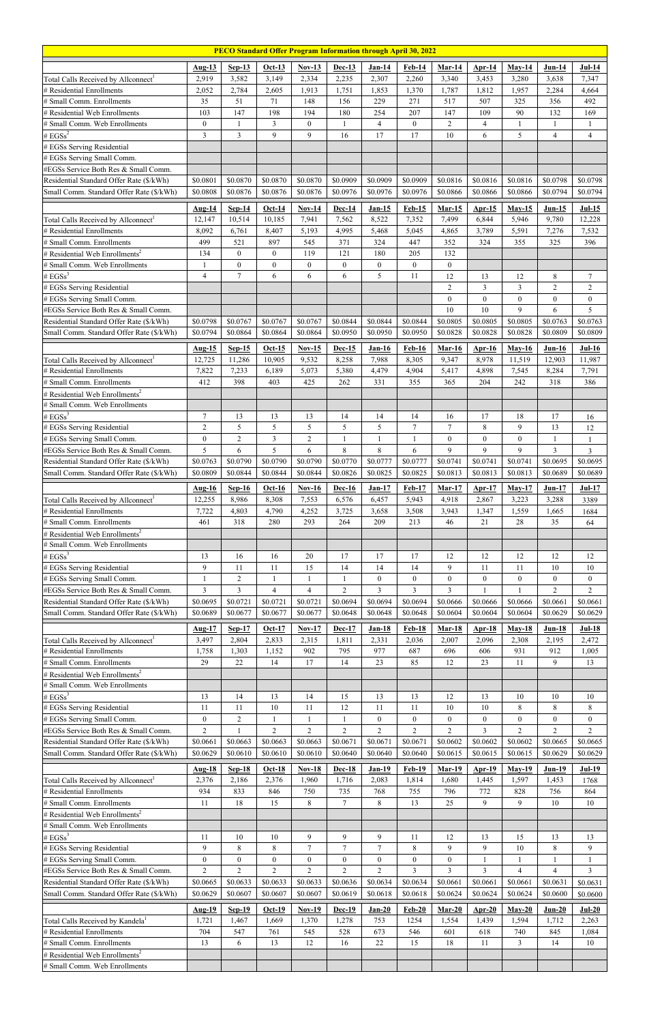| <b>PECO Standard Offer Program Information through April 30, 2022</b>            |                            |                      |                            |                            |                            |                            |                            |                            |                                    |                                  |                                |                                    |
|----------------------------------------------------------------------------------|----------------------------|----------------------|----------------------------|----------------------------|----------------------------|----------------------------|----------------------------|----------------------------|------------------------------------|----------------------------------|--------------------------------|------------------------------------|
|                                                                                  | Aug-13                     | $Sep-13$             | $Oct-13$                   | $Nov-13$                   | Dec-13                     | <b>Jan-14</b>              | <b>Feb-14</b>              | $Mar-14$                   | Apr- $14$                          | $May-14$                         | $Jun-14$                       | $Jul-14$                           |
| Total Calls Received by Allconnect <sup>1</sup>                                  | 2,919                      | 3,582                | 3,149                      | 2,334                      | 2,235                      | 2,307                      | 2,260                      | 3,340                      | 3,453                              | 3,280                            | 3,638                          | 7,347                              |
| # Residential Enrollments                                                        | 2,052                      | 2,784                | 2,605                      | 1,913                      | 1,751                      | 1,853                      | 1,370                      | 1,787                      | 1,812                              | 1,957                            | 2,284                          | 4,664                              |
| # Small Comm. Enrollments                                                        | 35                         | 51                   | 71                         | 148                        | 156                        | 229                        | 271                        | 517                        | 507                                | 325                              | 356                            | 492                                |
| # Residential Web Enrollments<br># Small Comm. Web Enrollments                   | 103<br>$\boldsymbol{0}$    | 147<br>1             | 198<br>3                   | 194<br>$\boldsymbol{0}$    | 180<br>1                   | 254<br>$\overline{4}$      | 207<br>$\boldsymbol{0}$    | 147<br>$\overline{2}$      | 109<br>$\overline{4}$              | 90<br>1                          | 132<br>$\mathbf{1}$            | 169<br>$\mathbf{1}$                |
| # $EGSS^2$                                                                       | $\overline{3}$             | $\overline{3}$       | 9                          | 9                          | 16                         | 17                         | 17                         | 10                         | 6                                  | 5                                | $\overline{4}$                 | $\overline{4}$                     |
| # EGSs Serving Residential                                                       |                            |                      |                            |                            |                            |                            |                            |                            |                                    |                                  |                                |                                    |
| # EGSs Serving Small Comm.                                                       |                            |                      |                            |                            |                            |                            |                            |                            |                                    |                                  |                                |                                    |
| #EGSs Service Both Res & Small Comm.                                             |                            |                      |                            |                            |                            |                            |                            |                            |                                    |                                  |                                |                                    |
| Residential Standard Offer Rate (\$/kWh)                                         | \$0.0801                   | \$0.0870             | \$0.0870                   | \$0.0870                   | \$0.0909                   | \$0.0909                   | \$0.0909                   | \$0.0816                   | \$0.0816                           | \$0.0816                         | \$0.0798                       | \$0.0798                           |
| Small Comm. Standard Offer Rate (\$/kWh)                                         | \$0.0808                   | \$0.0876             | \$0.0876                   | \$0.0876                   | \$0.0976                   | \$0.0976                   | \$0.0976                   | \$0.0866                   | \$0.0866                           | \$0.0866                         | \$0.0794                       | \$0.0794                           |
|                                                                                  | Aug- $14$                  | $Sep-14$             | $Oct-14$                   | $Nov-14$                   | Dec-14                     | $Jan-15$                   | $Feb-15$                   | $Mar-15$                   | Apr- $15$                          | $May-15$                         | $Jun-15$                       | $Jul-15$                           |
| Total Calls Received by Allconnect <sup>1</sup><br># Residential Enrollments     | 12,147<br>8,092            | 10,514<br>6,761      | 10,185<br>8,407            | 7,941<br>5,193             | 7,562<br>4,995             | 8,522<br>5,468             | 7,352<br>5,045             | 7,499<br>4,865             | 6,844<br>3,789                     | 5,946<br>5,591                   | 9,780<br>7,276                 | 12,228<br>7,532                    |
| # Small Comm. Enrollments                                                        | 499                        | 521                  | 897                        | 545                        | 371                        | 324                        | 447                        | 352                        | 324                                | 355                              | 325                            | 396                                |
| # Residential Web Enrollments <sup>2</sup>                                       | 134                        | $\boldsymbol{0}$     | $\boldsymbol{0}$           | 119                        | 121                        | 180                        | 205                        | 132                        |                                    |                                  |                                |                                    |
| # Small Comm. Web Enrollments                                                    | -1                         | $\boldsymbol{0}$     | $\boldsymbol{0}$           | $\mathbf{0}$               | $\mathbf{0}$               | $\mathbf{0}$               | $\boldsymbol{0}$           | $\mathbf{0}$               |                                    |                                  |                                |                                    |
| # $EGSS^3$                                                                       | $\overline{4}$             | $\overline{7}$       | 6                          | 6                          | 6                          | 5                          | 11                         | 12                         | 13                                 | 12                               | $\,$ $\,$                      | $\boldsymbol{7}$                   |
| # EGSs Serving Residential                                                       |                            |                      |                            |                            |                            |                            |                            | $\overline{2}$<br>$\theta$ | $\mathfrak{Z}$<br>$\boldsymbol{0}$ | $\overline{3}$<br>$\overline{0}$ | $\overline{2}$<br>$\mathbf{0}$ | $\overline{2}$<br>$\boldsymbol{0}$ |
| # EGSs Serving Small Comm.<br>#EGSs Service Both Res & Small Comm.               |                            |                      |                            |                            |                            |                            |                            | 10                         | 10                                 | 9                                | 6                              | 5                                  |
| Residential Standard Offer Rate (\$/kWh)                                         | \$0.0798                   | \$0.0767             | \$0.0767                   | \$0.0767                   | \$0.0844                   | \$0.0844                   | \$0.0844                   | \$0.0805                   | \$0.0805                           | \$0.0805                         | \$0.0763                       | \$0.0763                           |
| Small Comm. Standard Offer Rate (\$/kWh)                                         | \$0.0794                   | \$0.0864             | \$0.0864                   | \$0.0864                   | \$0.0950                   | \$0.0950                   | \$0.0950                   | \$0.0828                   | \$0.0828                           | \$0.0828                         | \$0.0809                       | \$0.0809                           |
|                                                                                  | Aug-15                     | $Sep-15$             | $Oct-15$                   | $Nov-15$                   | Dec-15                     | <b>Jan-16</b>              | <b>Feb-16</b>              | <b>Mar-16</b>              | Apr- $16$                          | $May-16$                         | $Jun-16$                       | $Jul-16$                           |
| Total Calls Received by Allconnect <sup>1</sup>                                  | 12,725                     | 11,286               | 10,905                     | 9,532                      | 8,258                      | 7,988                      | 8,305                      | 9,347                      | 8,978                              | 11,519                           | 12,903                         | 11,987                             |
| # Residential Enrollments                                                        | 7,822                      | 7,233                | 6,189                      | 5,073                      | 5,380                      | 4,479                      | 4,904                      | 5,417                      | 4,898                              | 7,545                            | 8,284                          | 7,791                              |
| # Small Comm. Enrollments                                                        | 412                        | 398                  | 403                        | 425                        | 262                        | 331                        | 355                        | 365                        | 204                                | 242                              | 318                            | 386                                |
| # Residential Web Enrollments <sup>2</sup><br># Small Comm. Web Enrollments      |                            |                      |                            |                            |                            |                            |                            |                            |                                    |                                  |                                |                                    |
| # $EGSS^3$                                                                       | $\tau$                     | 13                   | 13                         | 13                         | 14                         | 14                         | 14                         | 16                         | 17                                 | 18                               | 17                             | $16\,$                             |
| # EGSs Serving Residential                                                       | $\overline{2}$             | 5                    | 5                          | 5                          | 5                          | 5                          | $\tau$                     | $\overline{7}$             | 8                                  | 9                                | 13                             | 12                                 |
| # EGSs Serving Small Comm.                                                       | $\boldsymbol{0}$           | $\overline{2}$       | $\mathfrak{Z}$             | $\overline{2}$             | 1                          | 1                          |                            | $\mathbf{0}$               | $\boldsymbol{0}$                   | $\overline{0}$                   | $\mathbf{1}$                   | $\mathbf{1}$                       |
| #EGSs Service Both Res & Small Comm.                                             | 5                          | 6                    | 5                          | 6                          | 8                          | $\,8\,$                    | 6                          | 9                          | 9                                  | 9                                | 3                              | $\overline{3}$                     |
| Residential Standard Offer Rate (\$/kWh)                                         | \$0.0763                   | \$0.0790             | \$0.0790                   | \$0.0790                   | \$0.0770                   | \$0.0777                   | \$0.0777                   | \$0.0741                   | \$0.0741                           | \$0.0741                         | \$0.0695                       | \$0.0695                           |
| Small Comm. Standard Offer Rate (\$/kWh)                                         | \$0.0809                   | \$0.0844             | \$0.0844                   | \$0.0844                   | \$0.0826                   | \$0.0825                   | \$0.0825                   | \$0.0813                   | \$0.0813                           | \$0.0813                         | \$0.0689                       | \$0.0689                           |
|                                                                                  | Aug- $16$                  | $Sep-16$             | $Oct-16$                   | $Nov-16$                   | <b>Dec-16</b>              | $Jan-17$                   | <b>Feb-17</b>              | $Mar-17$                   | Apr- $17$                          | $May-17$                         | $Jun-17$                       | $Jul-17$                           |
| Total Calls Received by Allconnect <sup>1</sup><br># Residential Enrollments     | 12,255<br>7,722            | 8,986<br>4,803       | 8,308<br>4,790             | 7,553<br>4,252             | 6,576<br>3,725             | 6,457<br>3,658             | 5,943<br>3,508             | 4,918<br>3,943             | 2,867<br>1,347                     | 3,223<br>1,559                   | 3,288<br>1,665                 | 3389<br>1684                       |
| # Small Comm. Enrollments                                                        | 461                        | 318                  | 280                        | 293                        | 264                        | 209                        | 213                        | 46                         | 21                                 | 28                               | 35                             | 64                                 |
| # Residential Web Enrollments <sup>2</sup>                                       |                            |                      |                            |                            |                            |                            |                            |                            |                                    |                                  |                                |                                    |
| # Small Comm. Web Enrollments                                                    |                            |                      |                            |                            |                            |                            |                            |                            |                                    |                                  |                                |                                    |
| # $EGSS^3$                                                                       | 13                         | 16                   | 16                         | 20                         | 17                         | 17                         | 17                         | 12                         | 12                                 | 12                               | 12                             | 12                                 |
| # EGSs Serving Residential<br># EGSs Serving Small Comm.                         | 9<br>-1                    | 11<br>$\overline{c}$ | 11<br>1                    | 15<br>$\mathbf{1}$         | 14<br>-1                   | 14<br>$\mathbf{0}$         | 14<br>$\boldsymbol{0}$     | 9<br>$\mathbf{0}$          | 11<br>$\boldsymbol{0}$             | 11<br>$\overline{0}$             | 10<br>$\mathbf{0}$             | 10<br>$\boldsymbol{0}$             |
| #EGSs Service Both Res & Small Comm.                                             | 3                          | 3                    | 4                          | 4                          | $\overline{c}$             | 3                          | $\overline{3}$             | 3                          |                                    | 1                                | $\overline{c}$                 | $\overline{2}$                     |
| Residential Standard Offer Rate (\$/kWh)                                         | \$0.0695                   | \$0.0721             | \$0.0721                   | \$0.0721                   | \$0.0694                   | \$0.0694                   | \$0.0694                   | \$0.0666                   | \$0.0666                           | \$0.0666                         | \$0.0661                       | \$0.0661                           |
| Small Comm. Standard Offer Rate (\$/kWh)                                         | \$0.0689                   | \$0.0677             | \$0.0677                   | \$0.0677                   | \$0.0648                   | \$0.0648                   | \$0.0648                   | \$0.0604                   | \$0.0604                           | \$0.0604                         | \$0.0629                       | \$0.0629                           |
|                                                                                  | <b>Aug-17</b>              | $Sep-17$             | $Oct-17$                   | <b>Nov-17</b>              | <b>Dec-17</b>              | Jan-18                     | Feb-18                     | Mar-18                     | <b>Apr-18</b>                      | $May-18$                         | $Jun-18$                       | <b>Jul-18</b>                      |
| Total Calls Received by Allconnect <sup>1</sup>                                  | 3,497                      | 2,804                | 2,833                      | 2,315                      | 1,811                      | 2,331                      | 2,036                      | 2,007                      | 2,096                              | 2,308                            | 2,195                          | 2,472                              |
| # Residential Enrollments                                                        | 1,758                      | 1,303                | 1,152                      | 902                        | 795                        | 977                        | 687                        | 696                        | 606                                | 931                              | 912                            | 1,005                              |
| # Small Comm. Enrollments                                                        | 29                         | 22                   | 14                         | 17                         | 14                         | 23                         | 85                         | 12                         | 23                                 | 11                               | 9                              | 13                                 |
| # Residential Web Enrollments <sup>2</sup><br># Small Comm. Web Enrollments      |                            |                      |                            |                            |                            |                            |                            |                            |                                    |                                  |                                |                                    |
| # $EGSS^3$                                                                       | 13                         | 14                   | 13                         | 14                         | 15                         | 13                         | 13                         | 12                         | 13                                 | 10                               | 10                             | 10                                 |
| # EGSs Serving Residential                                                       | 11                         | 11                   | 10                         | 11                         | 12                         | 11                         | 11                         | 10                         | 10                                 | 8                                | 8                              | 8                                  |
| # EGSs Serving Small Comm.                                                       | $\overline{0}$             | $\boldsymbol{2}$     | 1                          | $\mathbf{1}$               | 1                          | $\mathbf{0}$               | $\boldsymbol{0}$           | $\mathbf{0}$               | $\boldsymbol{0}$                   | $\overline{0}$                   | $\mathbf{0}$                   | $\boldsymbol{0}$                   |
| #EGSs Service Both Res & Small Comm.<br>Residential Standard Offer Rate (\$/kWh) | $\overline{2}$<br>\$0.0661 | \$0.0663             | $\overline{c}$<br>\$0.0663 | $\overline{2}$<br>\$0.0663 | $\overline{2}$<br>\$0.0671 | $\overline{2}$<br>\$0.0671 | $\overline{2}$<br>\$0.0671 | $\overline{2}$<br>\$0.0602 | 3<br>\$0.0602                      | 2<br>\$0.0602                    | $\overline{2}$<br>\$0.0665     | $\overline{2}$<br>\$0.0665         |
| Small Comm. Standard Offer Rate (\$/kWh)                                         | \$0.0629                   | \$0.0610             | \$0.0610                   | \$0.0610                   | \$0.0640                   | \$0.0640                   | \$0.0640                   | \$0.0615                   | \$0.0615                           | \$0.0615                         | \$0.0629                       | \$0.0629                           |
|                                                                                  | <b>Aug-18</b>              | $Sep-18$             | $Oct-18$                   | $Nov-18$                   | <b>Dec-18</b>              | <b>Jan-19</b>              | <b>Feb-19</b>              | $Mar-19$                   | <b>Apr-19</b>                      | $May-19$                         | Jun-19                         | <b>Jul-19</b>                      |
| Total Calls Received by Allconnect <sup>1</sup>                                  | 2,376                      | 2,186                | 2,376                      | 1,960                      | 1,716                      | 2,083                      | 1,814                      | 1,680                      | 1,445                              | 1,597                            | 1,453                          | 1768                               |
| # Residential Enrollments                                                        | 934                        | 833                  | 846                        | 750                        | 735                        | 768                        | 755                        | 796                        | 772                                | 828                              | 756                            | 864                                |
| # Small Comm. Enrollments                                                        | 11                         | 18                   | 15                         | 8                          | $\tau$                     | 8                          | 13                         | 25                         | 9                                  | 9                                | 10                             | 10                                 |
| # Residential Web Enrollments <sup>2</sup>                                       |                            |                      |                            |                            |                            |                            |                            |                            |                                    |                                  |                                |                                    |
| # Small Comm. Web Enrollments                                                    |                            |                      |                            | 9                          | 9                          | $\overline{9}$             |                            | 12                         |                                    | 15                               |                                |                                    |
| # $EGSS^3$<br># EGSs Serving Residential                                         | 11<br>9                    | 10<br>8              | 10<br>$\,8\,$              | $\tau$                     | $\tau$                     | $\tau$                     | 11<br>8                    | 9                          | 13<br>9                            | 10                               | 13<br>8                        | 13<br>9                            |
| # EGSs Serving Small Comm.                                                       | $\boldsymbol{0}$           | $\mathbf{0}$         | $\boldsymbol{0}$           | $\overline{0}$             | $\mathbf{0}$               | $\mathbf{0}$               | $\boldsymbol{0}$           | $\overline{0}$             | 1                                  | 1                                | 1                              | 1                                  |
| #EGSs Service Both Res & Small Comm.                                             | $\overline{2}$             | $\overline{2}$       | $\overline{2}$             | $\overline{2}$             | 2                          | $\overline{2}$             | $\mathfrak{Z}$             | 3                          | 3                                  | $\overline{4}$                   | 4                              | 3                                  |
| Residential Standard Offer Rate (\$/kWh)                                         | \$0.0665                   | \$0.0633             | \$0.0633                   | \$0.0633                   | \$0.0636                   | \$0.0634                   | \$0.0634                   | \$0.0661                   | \$0.0661                           | \$0.0661                         | \$0.0631                       | \$0.0631                           |
| Small Comm. Standard Offer Rate (\$/kWh)                                         | \$0.0629                   | \$0.0607             | \$0.0607                   | \$0.0607                   | \$0.0619                   | \$0.0618                   | \$0.0618                   | \$0.0624                   | \$0.0624                           | \$0.0624                         | \$0.0600                       | \$0.0600                           |
|                                                                                  | <b>Aug-19</b>              | $Sep-19$             | $Oct-19$                   | $Nov-19$                   | Dec-19                     | $Jan-20$                   | $Feb-20$                   | $Mar-20$                   | Apr- $20$                          | $May-20$                         | $Jun-20$                       | $Jul-20$                           |
| Total Calls Received by Kandela <sup>1</sup>                                     | 1,721                      | 1,467                | 1,669                      | 1,370                      | 1,278                      | 753                        | 1254                       | 1,554                      | 1,439                              | 1,594                            | 1,712                          | 2,263                              |
| # Residential Enrollments<br># Small Comm. Enrollments                           | 704<br>13                  | 547<br>6             | 761<br>13                  | 545<br>12                  | 528<br>16                  | 673<br>22                  | 546<br>15                  | 601<br>18                  | 618<br>11                          | 740<br>$\mathbf{3}$              | 845<br>14                      | 1,084<br>10                        |
| # Residential Web Enrollments <sup>2</sup>                                       |                            |                      |                            |                            |                            |                            |                            |                            |                                    |                                  |                                |                                    |
| # Small Comm. Web Enrollments                                                    |                            |                      |                            |                            |                            |                            |                            |                            |                                    |                                  |                                |                                    |